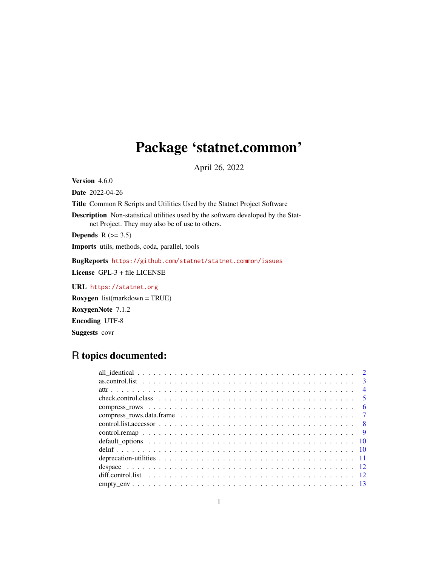## Package 'statnet.common'

April 26, 2022

<span id="page-0-0"></span>Version 4.6.0

Date 2022-04-26

Title Common R Scripts and Utilities Used by the Statnet Project Software

Description Non-statistical utilities used by the software developed by the Statnet Project. They may also be of use to others.

Depends  $R$  ( $>= 3.5$ )

Imports utils, methods, coda, parallel, tools

BugReports <https://github.com/statnet/statnet.common/issues>

License GPL-3 + file LICENSE

URL <https://statnet.org>

Roxygen list(markdown = TRUE) RoxygenNote 7.1.2 Encoding UTF-8 Suggests covr

## R topics documented:

| $\overline{\mathbf{3}}$ |
|-------------------------|
| $\overline{4}$          |
| $\sqrt{5}$              |
| - 6                     |
|                         |
|                         |
|                         |
|                         |
|                         |
|                         |
|                         |
|                         |
|                         |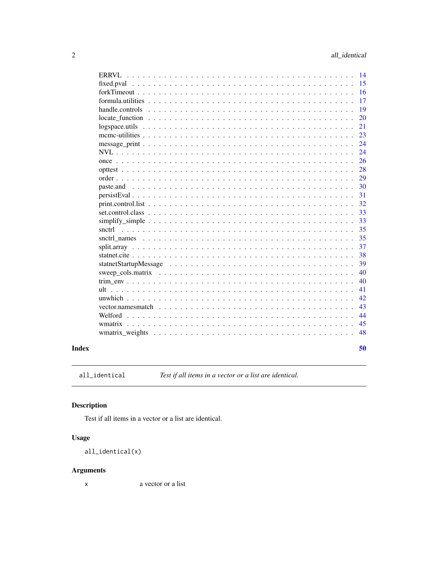<span id="page-1-0"></span>

|                                        | 14  |
|----------------------------------------|-----|
|                                        | 15  |
|                                        | 16  |
|                                        | 17  |
|                                        | 19  |
|                                        | 20  |
| $logspace. units                     $ | 21  |
|                                        | 23  |
|                                        | 24  |
|                                        | 24  |
|                                        | 26  |
|                                        | 28  |
|                                        | 29  |
| paste.and                              | 30  |
|                                        | 31  |
|                                        | 32  |
|                                        | 33  |
| $simplify\_simple$                     | 33  |
| snctrl                                 | 35  |
|                                        | 35  |
|                                        | 37  |
|                                        | 38  |
|                                        | 39  |
|                                        | 40  |
|                                        | 40  |
| ult                                    | 41  |
|                                        | 42. |
|                                        | 43  |
| Welford                                | 44  |
|                                        | 45  |
|                                        | 48  |
|                                        |     |
|                                        | 50  |

## **Index**

all\_identical

Test if all items in a vector or a list are identical.

## **Description**

Test if all items in a vector or a list are identical.

## **Usage**

all\_identical(x)

## **Arguments**

a vector or a list  $\mathsf X$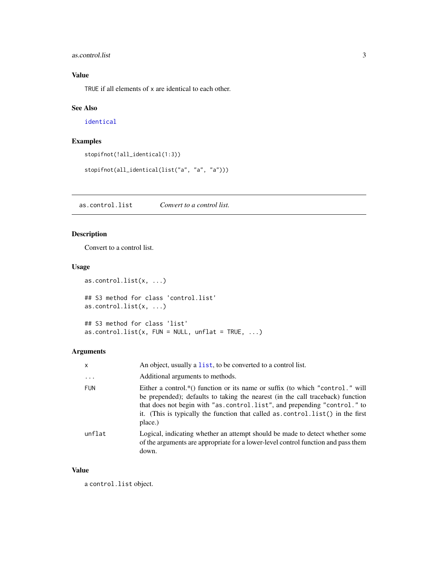## <span id="page-2-0"></span>as.control.list 3

## Value

TRUE if all elements of x are identical to each other.

## See Also

[identical](#page-0-0)

## Examples

```
stopifnot(!all_identical(1:3))
```
stopifnot(all\_identical(list("a", "a", "a")))

<span id="page-2-1"></span>as.control.list *Convert to a control list.*

## Description

Convert to a control list.

## Usage

```
as.control.list(x, ...)
## S3 method for class 'control.list'
as.control.list(x, ...)
## S3 method for class 'list'
as.control.list(x, FUN = NULL, unflat = TRUE, ...)
```
## Arguments

| X          | An object, usually a list, to be converted to a control list.                                                                                                                                                                                                                                                                             |
|------------|-------------------------------------------------------------------------------------------------------------------------------------------------------------------------------------------------------------------------------------------------------------------------------------------------------------------------------------------|
| $\ddots$ . | Additional arguments to methods.                                                                                                                                                                                                                                                                                                          |
| <b>FUN</b> | Either a control.*() function or its name or suffix (to which "control." will<br>be prepended); defaults to taking the nearest (in the call traceback) function<br>that does not begin with "as.control.list", and prepending "control." to<br>it. (This is typically the function that called as control. list() in the first<br>place.) |
| unflat     | Logical, indicating whether an attempt should be made to detect whether some<br>of the arguments are appropriate for a lower-level control function and pass them<br>down.                                                                                                                                                                |

## Value

a control.list object.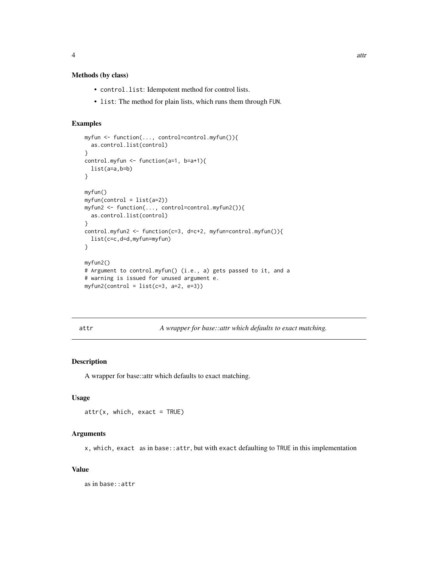## <span id="page-3-0"></span>Methods (by class)

- control.list: Idempotent method for control lists.
- list: The method for plain lists, which runs them through FUN.

#### Examples

```
myfun <- function(..., control=control.myfun()){
  as.control.list(control)
}
control.myfun <- function(a=1, b=a+1){
  list(a=a,b=b)
}
myfun()
myfun(control = list(a=2))
myfun2 <- function(..., control=control.myfun2()){
  as.control.list(control)
}
control.myfun2 <- function(c=3, d=c+2, myfun=control.myfun()){
  list(c=c,d=d,myfun=myfun)
}
myfun2()
# Argument to control.myfun() (i.e., a) gets passed to it, and a
# warning is issued for unused argument e.
myfun2(control = list(c=3, a=2, e=3))
```

| $\sim$ | $\sim$ | $\sim$ | × |
|--------|--------|--------|---|

A wrapper for base: : attr which defaults to exact matching.

## Description

A wrapper for base::attr which defaults to exact matching.

#### Usage

```
attr(x, which, exact = TRUE)
```
#### Arguments

x, which, exact as in base::attr, but with exact defaulting to TRUE in this implementation

#### Value

as in base::attr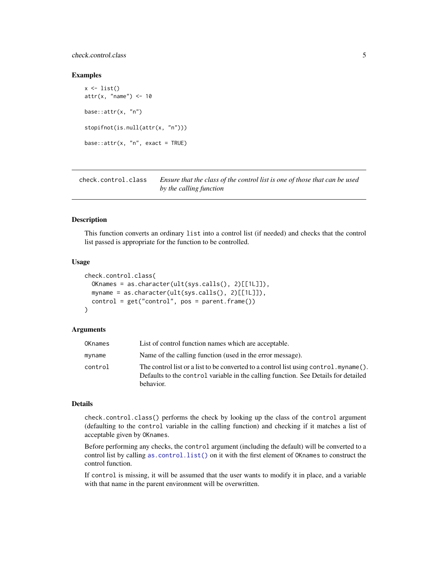## <span id="page-4-0"></span>check.control.class 5

#### Examples

```
x \leftarrow list()
attr(x, "name") < -10base::attr(x, "n")
stopifnot(is.null(attr(x, "n")))
base::attr(x, "n", exact = TRUE)
```
<span id="page-4-1"></span>check.control.class *Ensure that the class of the control list is one of those that can be used by the calling function*

## Description

This function converts an ordinary list into a control list (if needed) and checks that the control list passed is appropriate for the function to be controlled.

#### Usage

```
check.control.class(
  OKnames = as.character(ult(sys.calls(), 2)[[1L]]),
 myname = as.character(ult(sys.calls(), 2)[[1L]]),
  control = get("control", pos = parent.find()))
```
## Arguments

| OKnames | List of control function names which are acceptable.                                                                                                                                        |
|---------|---------------------------------------------------------------------------------------------------------------------------------------------------------------------------------------------|
| myname  | Name of the calling function (used in the error message).                                                                                                                                   |
| control | The control list or a list to be converted to a control list using control. $myname()$ .<br>Defaults to the control variable in the calling function. See Details for detailed<br>behavior. |

#### Details

check.control.class() performs the check by looking up the class of the control argument (defaulting to the control variable in the calling function) and checking if it matches a list of acceptable given by OKnames.

Before performing any checks, the control argument (including the default) will be converted to a control list by calling [as.control.list\(\)](#page-2-1) on it with the first element of OKnames to construct the control function.

If control is missing, it will be assumed that the user wants to modify it in place, and a variable with that name in the parent environment will be overwritten.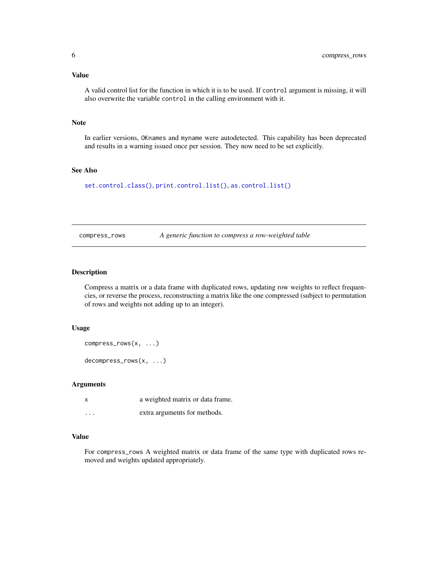## <span id="page-5-0"></span>Value

A valid control list for the function in which it is to be used. If control argument is missing, it will also overwrite the variable control in the calling environment with it.

## Note

In earlier versions, OKnames and myname were autodetected. This capability has been deprecated and results in a warning issued once per session. They now need to be set explicitly.

## See Also

[set.control.class\(\)](#page-32-1), [print.control.list\(\)](#page-31-1), [as.control.list\(\)](#page-2-1)

<span id="page-5-1"></span>compress\_rows *A generic function to compress a row-weighted table*

## Description

Compress a matrix or a data frame with duplicated rows, updating row weights to reflect frequencies, or reverse the process, reconstructing a matrix like the one compressed (subject to permutation of rows and weights not adding up to an integer).

#### Usage

```
compress_rows(x, ...)
decompress_rows(x, ...)
```
#### Arguments

|          | a weighted matrix or data frame. |
|----------|----------------------------------|
| $\cdots$ | extra arguments for methods.     |

## Value

For compress\_rows A weighted matrix or data frame of the same type with duplicated rows removed and weights updated appropriately.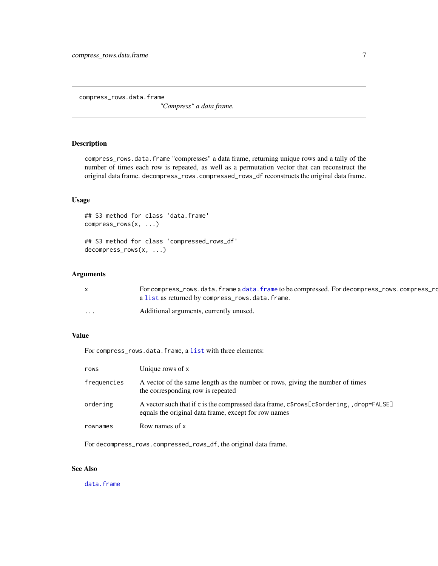<span id="page-6-0"></span>compress\_rows.data.frame

*"Compress" a data frame.*

## Description

compress\_rows.data.frame "compresses" a data frame, returning unique rows and a tally of the number of times each row is repeated, as well as a permutation vector that can reconstruct the original data frame. decompress\_rows.compressed\_rows\_df reconstructs the original data frame.

## Usage

## S3 method for class 'data.frame' compress\_rows(x, ...)

## S3 method for class 'compressed\_rows\_df' decompress\_rows(x, ...)

## Arguments

|          | For compress_rows.data.frame a data.frame to be compressed. For decompress_rows.compress_ro |
|----------|---------------------------------------------------------------------------------------------|
|          | a list as returned by compress_rows.data.frame.                                             |
| $\cdots$ | Additional arguments, currently unused.                                                     |

### Value

For compress\_rows.data.frame, a [list](#page-0-0) with three elements:

| rows        | Unique rows of x                                                                                                                                |
|-------------|-------------------------------------------------------------------------------------------------------------------------------------------------|
| frequencies | A vector of the same length as the number or rows, giving the number of times<br>the corresponding row is repeated                              |
| ordering    | A vector such that if c is the compressed data frame, c\$rows[c\$ordering,, drop=FALSE]<br>equals the original data frame, except for row names |
| rownames    | Row names of x                                                                                                                                  |

For decompress\_rows.compressed\_rows\_df, the original data frame.

## See Also

[data.frame](#page-0-0)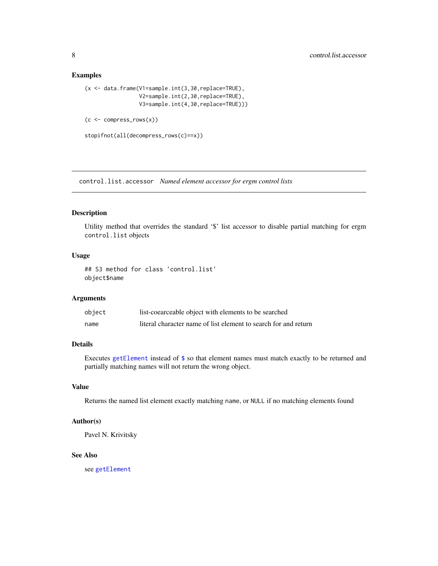#### Examples

```
(x <- data.frame(V1=sample.int(3,30,replace=TRUE),
                  V2=sample.int(2,30,replace=TRUE),
                  V3=sample.int(4,30,replace=TRUE)))
(c \leq - \text{compress\_rows}(x))
```
stopifnot(all(decompress\_rows(c)==x))

control.list.accessor *Named element accessor for ergm control lists*

## Description

Utility method that overrides the standard '\$' list accessor to disable partial matching for ergm control.list objects

## Usage

```
## S3 method for class 'control.list'
object$name
```
## Arguments

| object | list-coearceable object with elements to be searched            |
|--------|-----------------------------------------------------------------|
| name   | literal character name of list element to search for and return |

## Details

Executes [getElement](#page-0-0) instead of [\\$](#page-0-0) so that element names must match exactly to be returned and partially matching names will not return the wrong object.

#### Value

Returns the named list element exactly matching name, or NULL if no matching elements found

## Author(s)

Pavel N. Krivitsky

#### See Also

see [getElement](#page-0-0)

<span id="page-7-0"></span>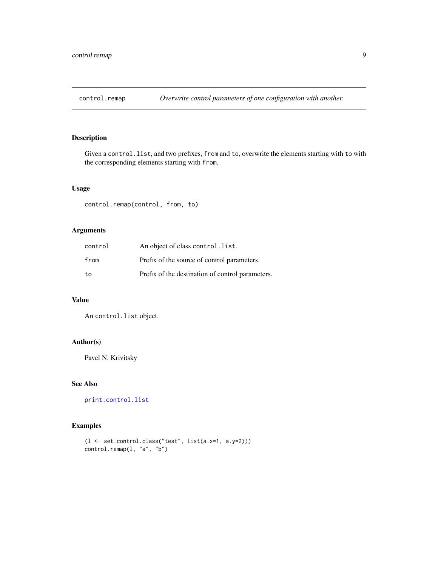<span id="page-8-0"></span>

Given a control.list, and two prefixes, from and to, overwrite the elements starting with to with the corresponding elements starting with from.

## Usage

control.remap(control, from, to)

## Arguments

| control | An object of class control. list.                |
|---------|--------------------------------------------------|
| from    | Prefix of the source of control parameters.      |
| to      | Prefix of the destination of control parameters. |

## Value

An control.list object.

#### Author(s)

Pavel N. Krivitsky

## See Also

[print.control.list](#page-31-1)

```
(l <- set.control.class("test", list(a.x=1, a.y=2)))
control.remap(l, "a", "b")
```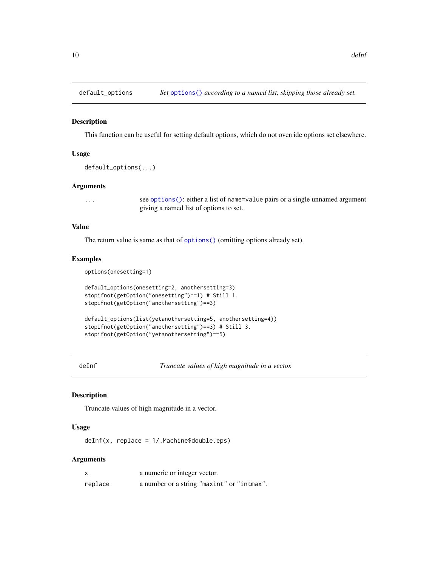<span id="page-9-0"></span>

This function can be useful for setting default options, which do not override options set elsewhere.

## Usage

```
default_options(...)
```
#### Arguments

... see [options\(\)](#page-0-0): either a list of name=value pairs or a single unnamed argument giving a named list of options to set.

## Value

The return value is same as that of [options\(\)](#page-0-0) (omitting options already set).

## Examples

```
options(onesetting=1)
```

```
default_options(onesetting=2, anothersetting=3)
stopifnot(getOption("onesetting")==1) # Still 1.
stopifnot(getOption("anothersetting")==3)
default_options(list(yetanothersetting=5, anothersetting=4))
stopifnot(getOption("anothersetting")==3) # Still 3.
stopifnot(getOption("yetanothersetting")==5)
```
deInf *Truncate values of high magnitude in a vector.*

#### Description

Truncate values of high magnitude in a vector.

## Usage

deInf(x, replace = 1/.Machine\$double.eps)

## Arguments

| $\boldsymbol{\mathsf{x}}$ | a numeric or integer vector.               |
|---------------------------|--------------------------------------------|
| replace                   | a number or a string "maxint" or "intmax". |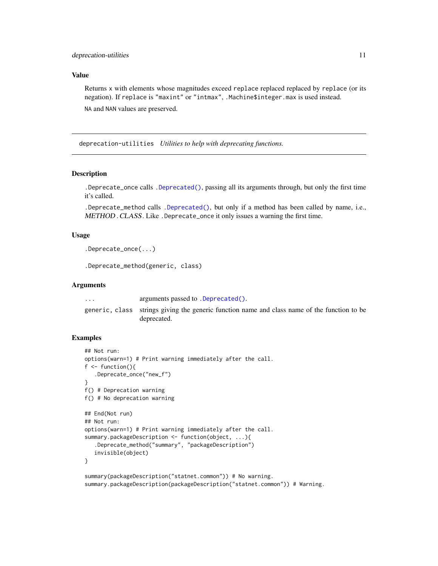## <span id="page-10-0"></span>Value

Returns x with elements whose magnitudes exceed replace replaced replaced by replace (or its negation). If replace is "maxint" or "intmax", .Machine\$integer.max is used instead. NA and NAN values are preserved.

deprecation-utilities *Utilities to help with deprecating functions.*

## Description

.Deprecate\_once calls [.Deprecated\(\)](#page-0-0), passing all its arguments through, but only the first time it's called.

.Deprecate\_method calls [.Deprecated\(\)](#page-0-0), but only if a method has been called by name, i.e., METHOD.CLASS. Like .Deprecate\_once it only issues a warning the first time.

#### Usage

```
.Deprecate_once(...)
```
.Deprecate\_method(generic, class)

#### Arguments

... arguments passed to [.Deprecated\(\)](#page-0-0).

generic, class strings giving the generic function name and class name of the function to be deprecated.

## Examples

```
## Not run:
options(warn=1) # Print warning immediately after the call.
f \leftarrow function().Deprecate_once("new_f")
}
f() # Deprecation warning
f() # No deprecation warning
## End(Not run)
## Not run:
options(warn=1) # Print warning immediately after the call.
summary.packageDescription <- function(object, ...){
   .Deprecate_method("summary", "packageDescription")
   invisible(object)
}
summary(packageDescription("statnet.common")) # No warning.
```
summary.packageDescription(packageDescription("statnet.common")) # Warning.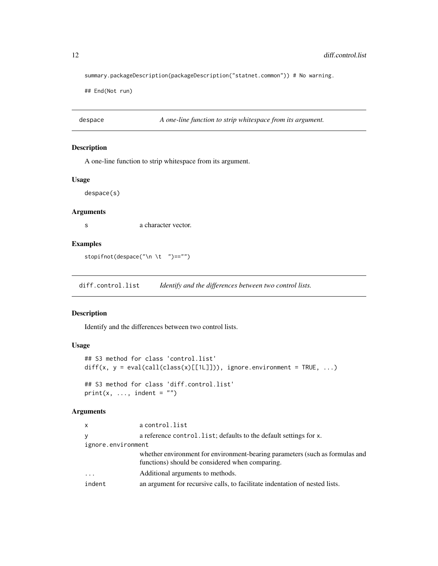summary.packageDescription(packageDescription("statnet.common")) # No warning.

## End(Not run)

despace *A one-line function to strip whitespace from its argument.*

## Description

A one-line function to strip whitespace from its argument.

## Usage

despace(s)

## Arguments

s a character vector.

## Examples

stopifnot(despace("\n \t ")=="")

diff.control.list *Identify and the differences between two control lists.*

#### Description

Identify and the differences between two control lists.

## Usage

```
## S3 method for class 'control.list'
diff(x, y = eval(call(class(x)[[1L]])), ignore.environment = TRUE, ...)
## S3 method for class 'diff.control.list'
print(x, ..., indent = "")
```
#### Arguments

| <b>x</b>           | a control.list                                                                                                                  |
|--------------------|---------------------------------------------------------------------------------------------------------------------------------|
| v                  | a reference control. list; defaults to the default settings for x.                                                              |
| ignore.environment |                                                                                                                                 |
|                    | whether environment for environment-bearing parameters (such as formulas and<br>functions) should be considered when comparing. |
| $\ddots$           | Additional arguments to methods.                                                                                                |
| indent             | an argument for recursive calls, to facilitate indentation of nested lists.                                                     |

<span id="page-11-0"></span>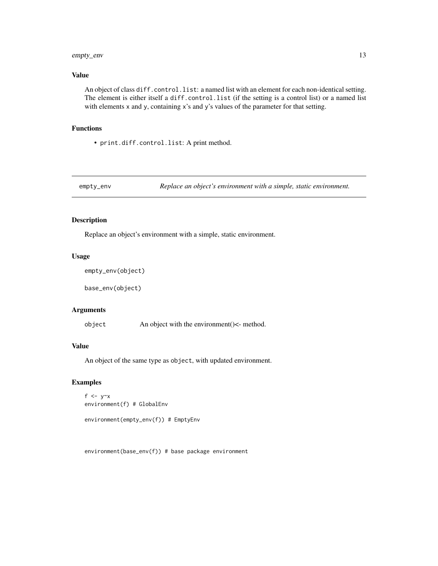## <span id="page-12-0"></span>empty\_env 13

## Value

An object of class diff.control.list: a named list with an element for each non-identical setting. The element is either itself a diff.control.list (if the setting is a control list) or a named list with elements x and y, containing x's and y's values of the parameter for that setting.

## Functions

• print.diff.control.list: A print method.

## Description

Replace an object's environment with a simple, static environment.

#### Usage

```
empty_env(object)
```
base\_env(object)

#### Arguments

object  $\Delta n$  object with the environment( $\epsilon$ - method.

## Value

An object of the same type as object, with updated environment.

## Examples

```
f \lt- y\approxx
environment(f) # GlobalEnv
```

```
environment(empty_env(f)) # EmptyEnv
```
environment(base\_env(f)) # base package environment

empty\_env *Replace an object's environment with a simple, static environment.*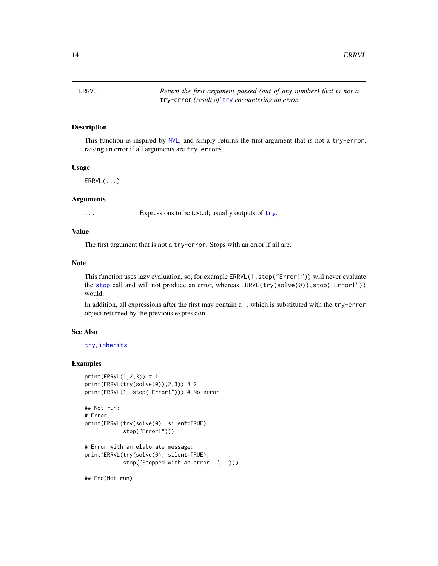<span id="page-13-0"></span>

This function is inspired by [NVL](#page-23-1), and simply returns the first argument that is not a try-error, raising an error if all arguments are try-errors.

#### Usage

ERRVL(...)

#### Arguments

... Expressions to be tested; usually outputs of [try](#page-0-0).

## Value

The first argument that is not a try-error. Stops with an error if all are.

## Note

This function uses lazy evaluation, so, for example ERRVL(1,stop("Error!")) will never evaluate the [stop](#page-0-0) call and will not produce an error, whereas ERRVL(try(solve(0)),stop("Error!")) would.

In addition, all expressions after the first may contain a ., which is substituted with the try-error object returned by the previous expression.

#### See Also

[try](#page-0-0), [inherits](#page-0-0)

## Examples

```
print(ERRVL(1,2,3)) # 1
print(ERRVL(try(solve(0)),2,3)) # 2
print(ERRVL(1, stop("Error!"))) # No error
```

```
## Not run:
# Error:
print(ERRVL(try(solve(0), silent=TRUE),
            stop("Error!")))
```

```
# Error with an elaborate message:
print(ERRVL(try(solve(0), silent=TRUE),
            stop("Stopped with an error: ", .)))
```
## End(Not run)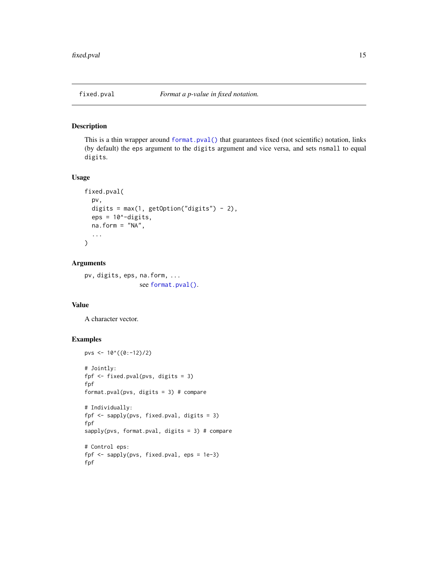<span id="page-14-0"></span>

This is a thin wrapper around [format.pval\(\)](#page-0-0) that guarantees fixed (not scientific) notation, links (by default) the eps argument to the digits argument and vice versa, and sets nsmall to equal digits.

#### Usage

```
fixed.pval(
  pv,
  digits = max(1, getOption("digits") - 2),
  eps = 10^{\circ}-digits,
  na.form = "NA",
  ...
)
```
## Arguments

pv, digits, eps, na.form, ... see [format.pval\(\)](#page-0-0).

#### Value

A character vector.

```
pvs <- 10^{\circ}((0:-12)/2)# Jointly:
fpf <- fixed.pval(pvs, digits = 3)
fpf
format.pval(pvs, digits = 3) # compare
# Individually:
fpf <- sapply(pvs, fixed.pval, digits = 3)
fpf
sapply(pvs, format.pval, digits = 3) # compare
# Control eps:
fpf <- sapply(pvs, fixed.pval, eps = 1e-3)
fpf
```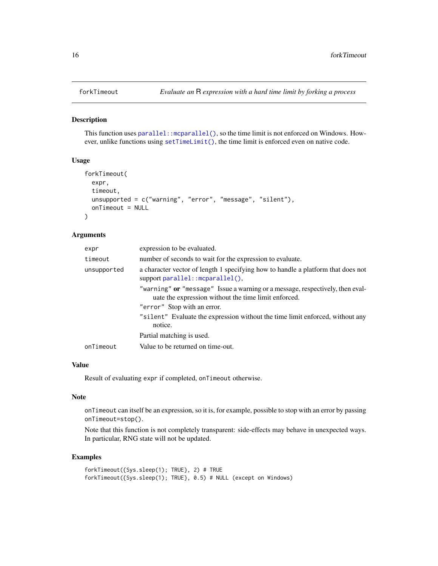<span id="page-15-0"></span>

This function uses [parallel::mcparallel\(\)](#page-0-0), so the time limit is not enforced on Windows. However, unlike functions using  $setTimeLimit()$ , the time limit is enforced even on native code.

#### Usage

```
forkTimeout(
  expr,
  timeout,
  unsupported = c("warning", "error", "message", "silent"),
  onTimeout = NULL
)
```
## Arguments

| expr        | expression to be evaluated.                                                                                                           |
|-------------|---------------------------------------------------------------------------------------------------------------------------------------|
| timeout     | number of seconds to wait for the expression to evaluate.                                                                             |
| unsupported | a character vector of length 1 specifying how to handle a platform that does not<br>support parallel::mcparallel(),                   |
|             | "warning" or "message" Issue a warning or a message, respectively, then eval-<br>uate the expression without the time limit enforced. |
|             | "error" Stop with an error.                                                                                                           |
|             | "silent" Evaluate the expression without the time limit enforced, without any<br>notice.                                              |
|             | Partial matching is used.                                                                                                             |
| onTimeout   | Value to be returned on time-out.                                                                                                     |

## Value

Result of evaluating expr if completed, onTimeout otherwise.

## Note

onTimeout can itself be an expression, so it is, for example, possible to stop with an error by passing onTimeout=stop().

Note that this function is not completely transparent: side-effects may behave in unexpected ways. In particular, RNG state will not be updated.

```
forkTimeout({Sys.sleep(1); TRUE}, 2) # TRUE
forkTimeout({Sys.sleep(1); TRUE}, 0.5) # NULL (except on Windows)
```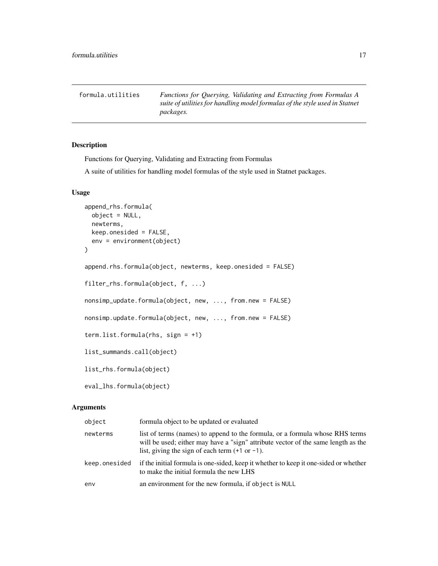<span id="page-16-0"></span>formula.utilities *Functions for Querying, Validating and Extracting from Formulas A suite of utilities for handling model formulas of the style used in Statnet packages.*

## Description

Functions for Querying, Validating and Extracting from Formulas

A suite of utilities for handling model formulas of the style used in Statnet packages.

## Usage

```
append_rhs.formula(
 object = NULL,newterms,
 keep.onesided = FALSE,
 env = environment(object)
)
append.rhs.formula(object, newterms, keep.onesided = FALSE)
filter_rhs.formula(object, f, ...)
nonsimp_update.formula(object, new, ..., from.new = FALSE)
nonsimp.update.formula(object, new, ..., from.new = FALSE)
term.list.formula(rhs, sign = +1)
list_summands.call(object)
list_rhs.formula(object)
eval_lhs.formula(object)
```
#### Arguments

| object        | formula object to be updated or evaluated                                                                                                                                                                                       |
|---------------|---------------------------------------------------------------------------------------------------------------------------------------------------------------------------------------------------------------------------------|
| newterms      | list of terms (names) to append to the formula, or a formula whose RHS terms<br>will be used; either may have a "sign" attribute vector of the same length as the<br>list, giving the sign of each term $(+1 \text{ or } -1)$ . |
| keep.onesided | if the initial formula is one-sided, keep it whether to keep it one-sided or whether<br>to make the initial formula the new LHS                                                                                                 |
| env           | an environment for the new formula, if object is NULL                                                                                                                                                                           |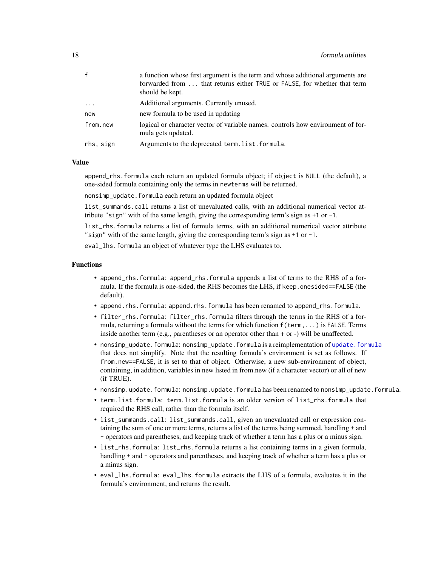<span id="page-17-0"></span>

| $\mathbf{f}$ | a function whose first argument is the term and whose additional arguments are<br>forwarded from  that returns either TRUE or FALSE, for whether that term<br>should be kept. |
|--------------|-------------------------------------------------------------------------------------------------------------------------------------------------------------------------------|
| $\cdots$     | Additional arguments. Currently unused.                                                                                                                                       |
| new          | new formula to be used in updating                                                                                                                                            |
| from.new     | logical or character vector of variable names. controls how environment of for-<br>mula gets updated.                                                                         |
| rhs, sign    | Arguments to the deprecated term.list.formula.                                                                                                                                |

#### Value

append\_rhs.formula each return an updated formula object; if object is NULL (the default), a one-sided formula containing only the terms in newterms will be returned.

nonsimp\_update.formula each return an updated formula object

list\_summands.call returns a list of unevaluated calls, with an additional numerical vector attribute "sign" with of the same length, giving the corresponding term's sign as +1 or -1.

list\_rhs.formula returns a list of formula terms, with an additional numerical vector attribute "sign" with of the same length, giving the corresponding term's sign as +1 or -1.

eval\_lhs.formula an object of whatever type the LHS evaluates to.

#### Functions

- append\_rhs.formula: append\_rhs.formula appends a list of terms to the RHS of a formula. If the formula is one-sided, the RHS becomes the LHS, if keep.onesided==FALSE (the default).
- append.rhs.formula: append.rhs.formula has been renamed to append\_rhs.formula.
- filter\_rhs.formula: filter\_rhs.formula filters through the terms in the RHS of a formula, returning a formula without the terms for which function f(term,...) is FALSE. Terms inside another term (e.g., parentheses or an operator other than + or -) will be unaffected.
- nonsimp\_update.formula: nonsimp\_update.formula is a reimplementation of [update.formula](#page-0-0) that does not simplify. Note that the resulting formula's environment is set as follows. If from.new==FALSE, it is set to that of object. Otherwise, a new sub-environment of object, containing, in addition, variables in new listed in from.new (if a character vector) or all of new (if TRUE).
- nonsimp.update.formula: nonsimp.update.formula has been renamed to nonsimp\_update.formula.
- term.list.formula: term.list.formula is an older version of list\_rhs.formula that required the RHS call, rather than the formula itself.
- list\_summands.call: list\_summands.call, given an unevaluated call or expression containing the sum of one or more terms, returns a list of the terms being summed, handling + and - operators and parentheses, and keeping track of whether a term has a plus or a minus sign.
- list\_rhs.formula: list\_rhs.formula returns a list containing terms in a given formula, handling + and - operators and parentheses, and keeping track of whether a term has a plus or a minus sign.
- eval\_lhs.formula: eval\_lhs.formula extracts the LHS of a formula, evaluates it in the formula's environment, and returns the result.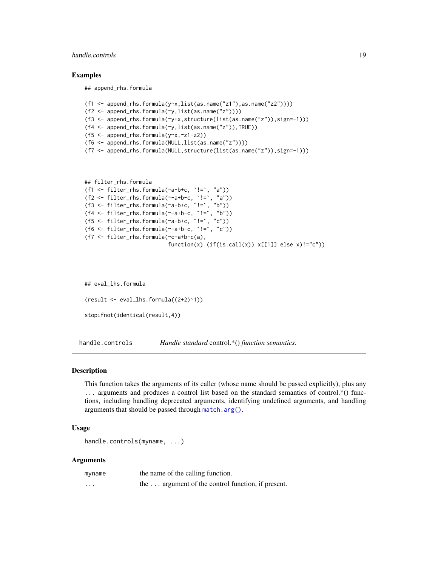## <span id="page-18-0"></span>handle.controls 19

#### Examples

## append\_rhs.formula

```
(f1 \leftarrow append_{r}hs.formula(y~x,list(as.name("z1"),as.name("z2"))))
(f2 \leq - append_rhs.formula(\gamma,list(as.name("z"))))
(f3 <- append_rhs.formula(~y+x,structure(list(as.name("z")),sign=-1)))
(f4 <- append_rhs.formula(~y,list(as.name("z")),TRUE))
(f5 <- append_rhs.formula(y~x,~z1-z2))
(f6 <- append_rhs.formula(NULL,list(as.name("z"))))
(f7 <- append_rhs.formula(NULL,structure(list(as.name("z")),sign=-1)))
```

```
## filter_rhs.formula
(f1 <- filter_rhs.formula(~a-b+c, `!=`, "a"))
(f2 \leq-filter_rhs.format(a^--a+b-c, '!=', 'a"))(f3 \leftarrow filter_{rhs} \cdot formula(\neg a-b+c, \neg != \neg "b")(f4 <- filter_rhs.formula(~-a+b-c, `!=`, "b"))
(f5 <- filter_rhs.formula(~a-b+c, `!=`, "c"))
(f6 <- filter_rhs.formula(~-a+b-c, `!=`, "c"))
(f7 <- filter_rhs.formula(~c-a+b-c(a),
                            function(x) (if(is.call(x)) x[[1]] else x)!="c")
```
## eval\_lhs.formula (result <- eval\_lhs.formula((2+2)~1)) stopifnot(identical(result,4))

handle.controls *Handle standard* control.\*() *function semantics.*

#### Description

This function takes the arguments of its caller (whose name should be passed explicitly), plus any ... arguments and produces a control list based on the standard semantics of control.\*() functions, including handling deprecated arguments, identifying undefined arguments, and handling arguments that should be passed through [match.arg\(\)](#page-0-0).

## Usage

```
handle.controls(myname, ...)
```
#### Arguments

| myname   | the name of the calling function.                         |
|----------|-----------------------------------------------------------|
| $\cdots$ | the $\dots$ argument of the control function, if present. |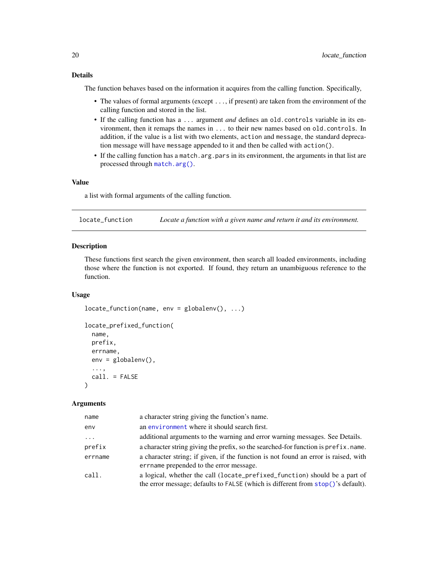## <span id="page-19-0"></span>Details

The function behaves based on the information it acquires from the calling function. Specifically,

- The values of formal arguments (except ..., if present) are taken from the environment of the calling function and stored in the list.
- If the calling function has a ... argument *and* defines an old.controls variable in its environment, then it remaps the names in ... to their new names based on old.controls. In addition, if the value is a list with two elements, action and message, the standard deprecation message will have message appended to it and then be called with action().
- If the calling function has a match.arg.pars in its environment, the arguments in that list are processed through [match.arg\(\)](#page-0-0).

## Value

a list with formal arguments of the calling function.

locate\_function *Locate a function with a given name and return it and its environment.*

#### Description

These functions first search the given environment, then search all loaded environments, including those where the function is not exported. If found, they return an unambiguous reference to the function.

## Usage

```
locate_function(name, env = globalenv(), ...)
locate_prefixed_function(
  name,
 prefix,
  errname,
  env = globalenv(),
  ...,
  call. = FALSE
)
```
#### Arguments

| name     | a character string giving the function's name.                                                                                                                 |
|----------|----------------------------------------------------------------------------------------------------------------------------------------------------------------|
| env      | an environment where it should search first.                                                                                                                   |
| $\cdots$ | additional arguments to the warning and error warning messages. See Details.                                                                                   |
| prefix   | a character string giving the prefix, so the searched-for function is prefix, name.                                                                            |
| errname  | a character string; if given, if the function is not found an error is raised, with<br>errname prepended to the error message.                                 |
| call.    | a logical, whether the call (locate_prefixed_function) should be a part of<br>the error message; defaults to FALSE (which is different from stop()'s default). |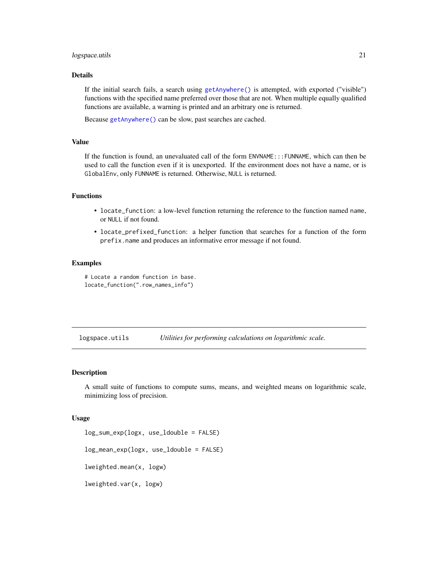#### <span id="page-20-0"></span>logspace.utils 21

## Details

If the initial search fails, a search using [getAnywhere\(\)](#page-0-0) is attempted, with exported ("visible") functions with the specified name preferred over those that are not. When multiple equally qualified functions are available, a warning is printed and an arbitrary one is returned.

Because [getAnywhere\(\)](#page-0-0) can be slow, past searches are cached.

## Value

If the function is found, an unevaluated call of the form ENVNAME:::FUNNAME, which can then be used to call the function even if it is unexported. If the environment does not have a name, or is GlobalEnv, only FUNNAME is returned. Otherwise, NULL is returned.

## Functions

- locate\_function: a low-level function returning the reference to the function named name, or NULL if not found.
- locate\_prefixed\_function: a helper function that searches for a function of the form prefix.name and produces an informative error message if not found.

## Examples

# Locate a random function in base. locate\_function(".row\_names\_info")

logspace.utils *Utilities for performing calculations on logarithmic scale.*

#### Description

A small suite of functions to compute sums, means, and weighted means on logarithmic scale, minimizing loss of precision.

#### Usage

log\_sum\_exp(logx, use\_ldouble = FALSE) log\_mean\_exp(logx, use\_ldouble = FALSE) lweighted.mean(x, logw) lweighted.var(x, logw)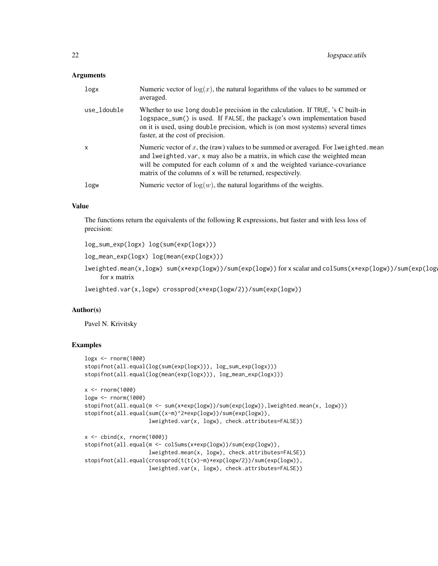#### Arguments

| logx         | Numeric vector of $log(x)$ , the natural logarithms of the values to be summed or<br>averaged.                                                                                                                                                                                                                |
|--------------|---------------------------------------------------------------------------------------------------------------------------------------------------------------------------------------------------------------------------------------------------------------------------------------------------------------|
| use_ldouble  | Whether to use long double precision in the calculation. If TRUE, 's C built-in<br>logspace_sum() is used. If FALSE, the package's own implementation based<br>on it is used, using double precision, which is (on most systems) several times<br>faster, at the cost of precision.                           |
| $\mathsf{x}$ | Numeric vector of x, the (raw) values to be summed or averaged. For lweighted mean<br>and lweighted. var, x may also be a matrix, in which case the weighted mean<br>will be computed for each column of x and the weighted variance-covariance<br>matrix of the columns of x will be returned, respectively. |
| logw         | Numeric vector of $log(w)$ , the natural logarithms of the weights.                                                                                                                                                                                                                                           |
|              |                                                                                                                                                                                                                                                                                                               |

## Value

The functions return the equivalents of the following R expressions, but faster and with less loss of precision:

log\_sum\_exp(logx) log(sum(exp(logx)))

log\_mean\_exp(logx) log(mean(exp(logx)))

lweighted.mean(x,logw) sum(x\*exp(logw))/sum(exp(logw)) for x scalar and colSums(x\*exp(logw))/sum(exp(logw)) for x matrix

lweighted.var(x,logw) crossprod(x\*exp(logw/2))/sum(exp(logw))

## Author(s)

Pavel N. Krivitsky

```
logx <- rnorm(1000)
stopifnot(all.equal(log(sum(exp(logx))), log_sum_exp(logx)))
stopifnot(all.equal(log(mean(exp(logx))), log_mean_exp(logx)))
x < - rnorm(1000)
logw <- rnorm(1000)
stopifnot(all.equal(m <- sum(x*exp(logw))/sum(exp(logw)),lweighted.mean(x, logw)))
stopifnot(all.equal(sum((x-m)^2*exp(logw))/sum(exp(logw)),
                    lweighted.var(x, logw), check.attributes=FALSE))
x \leftarrow \text{cbind}(x, \text{norm}(1000))stopifnot(all.equal(m <- colSums(x*exp(logw))/sum(exp(logw)),
                    lweighted.mean(x, logw), check.attributes=FALSE))
stopifnot(all.equal(crossprod(t(t(x)-m)*exp(logw/2))/sum(exp(logw)),
                    lweighted.var(x, logw), check.attributes=FALSE))
```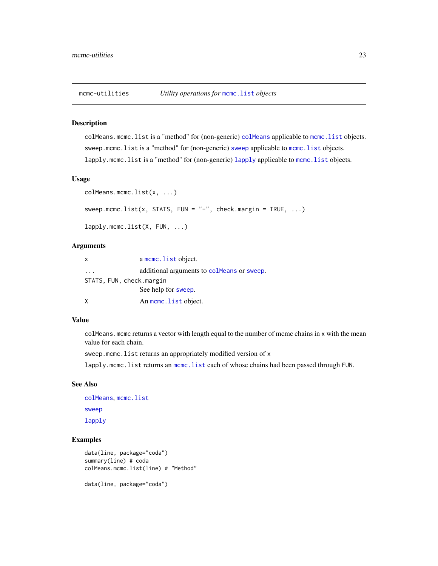<span id="page-22-0"></span>

colMeans.mcmc.list is a "method" for (non-generic) [colMeans](#page-0-0) applicable to [mcmc.list](#page-0-0) objects. [sweep](#page-0-0).[mcmc.list](#page-0-0) is a "method" for (non-generic) sweep applicable to mcmc.list objects. [lapply](#page-0-0).[mcmc.list](#page-0-0) is a "method" for (non-generic) lapply applicable to mcmc.list objects.

#### Usage

```
colMeans.mcmc.list(x, ...)
sweep.mcmc.list(x, STATS, FUN = "-", check.margin = TRUE, ...)
lapply.mcmc.list(X, FUN, ...)
```
## Arguments

| $\mathsf{X}$ | a mcmc. list object.                       |
|--------------|--------------------------------------------|
| .            | additional arguments to colmeans or sweep. |
|              | STATS, FUN, check.margin                   |
|              | See help for sweep.                        |
| X            | An mome. list object.                      |

#### Value

colMeans.mcmc returns a vector with length equal to the number of mcmc chains in x with the mean value for each chain.

sweep.mcmc.list returns an appropriately modified version of x

lapply.mcmc.list returns an [mcmc.list](#page-0-0) each of whose chains had been passed through FUN.

## See Also

[colMeans](#page-0-0), [mcmc.list](#page-0-0) [sweep](#page-0-0) [lapply](#page-0-0)

```
data(line, package="coda")
summary(line) # coda
colMeans.mcmc.list(line) # "Method"
data(line, package="coda")
```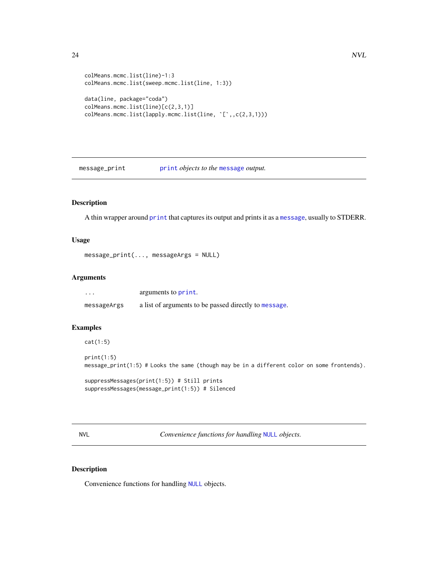```
colMeans.mcmc.list(line)-1:3
colMeans.mcmc.list(sweep.mcmc.list(line, 1:3))
data(line, package="coda")
colMeans.mcmc.list(line)[c(2,3,1)]
colMeans.mcmc.list(lapply.mcmc.list(line, `[`,,c(2,3,1)))
```
message\_print [print](#page-0-0) *objects to the* [message](#page-0-0) *output.*

## Description

A thin wrapper around [print](#page-0-0) that captures its output and prints it as a [message](#page-0-0), usually to STDERR.

## Usage

```
message_print(..., messageArgs = NULL)
```
#### Arguments

| $\cdots$    | arguments to print.                                   |
|-------------|-------------------------------------------------------|
| messageArgs | a list of arguments to be passed directly to message. |

## Examples

```
cat(1:5)
```
print(1:5) message\_print(1:5) # Looks the same (though may be in a different color on some frontends).

```
suppressMessages(print(1:5)) # Still prints
suppressMessages(message_print(1:5)) # Silenced
```
<span id="page-23-1"></span>NVL *Convenience functions for handling* [NULL](#page-0-0) *objects.*

## Description

Convenience functions for handling [NULL](#page-0-0) objects.

<span id="page-23-0"></span>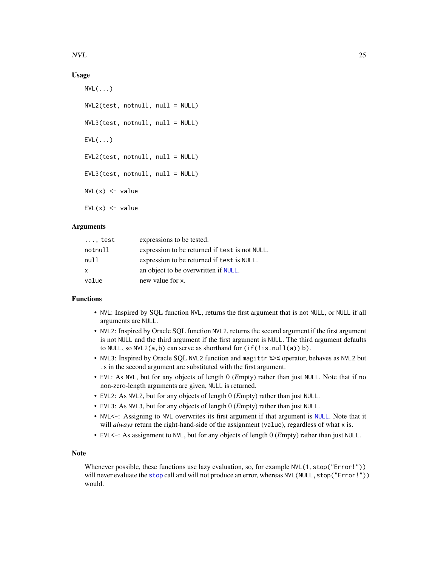<span id="page-24-0"></span> $NVL$  25

## Usage

```
NVL(\ldots)NVL2(test, notnull, null = NULL)
NVL3(test, notnull, null = NULL)
EVL(\ldots)EVL2(test, notnull, null = NULL)
EVL3(test, notnull, null = NULL)
NVL(x) \le -\text{value}EVL(x) <- value
```
## Arguments

| $\ldots$ , test | expressions to be tested.                      |
|-----------------|------------------------------------------------|
| notnull         | expression to be returned if test is not NULL. |
| null            | expression to be returned if test is NULL.     |
| X               | an object to be overwritten if NULL.           |
| value           | new value for x.                               |

## Functions

- NVL: Inspired by SQL function NVL, returns the first argument that is not NULL, or NULL if all arguments are NULL.
- NVL2: Inspired by Oracle SQL function NVL2, returns the second argument if the first argument is not NULL and the third argument if the first argument is NULL. The third argument defaults to NULL, so NVL2( $a$ , $b$ ) can serve as shorthand for ( $if(!is.null(a)) b$ ).
- NVL3: Inspired by Oracle SQL NVL2 function and magittr %>% operator, behaves as NVL2 but .s in the second argument are substituted with the first argument.
- EVL: As NVL, but for any objects of length 0 (*E*mpty) rather than just NULL. Note that if no non-zero-length arguments are given, NULL is returned.
- EVL2: As NVL2, but for any objects of length 0 (*E*mpty) rather than just NULL.
- EVL3: As NVL3, but for any objects of length 0 (*E*mpty) rather than just NULL.
- NVL<-: Assigning to NVL overwrites its first argument if that argument is [NULL](#page-0-0). Note that it will *always* return the right-hand-side of the assignment (value), regardless of what x is.
- EVL<-: As assignment to NVL, but for any objects of length 0 (*E*mpty) rather than just NULL.

## Note

Whenever possible, these functions use lazy evaluation, so, for example NVL(1, stop("Error!")) will never evaluate the [stop](#page-0-0) call and will not produce an error, whereas NVL (NULL, stop("Error!")) would.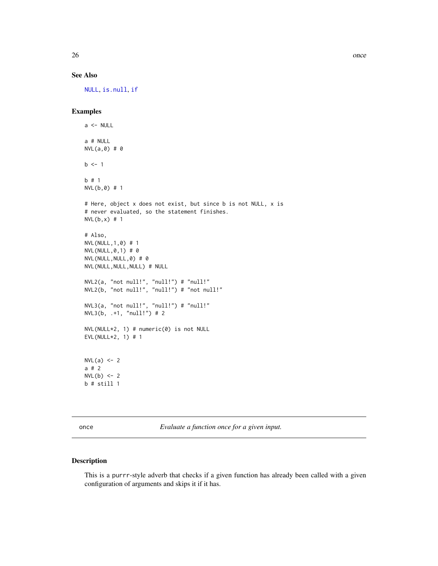## See Also

[NULL](#page-0-0), [is.null](#page-0-0), [if](#page-0-0)

## Examples

```
a \leftarrow \text{NULL}a # NULL
NVL(a,0) # 0
b \le -1b # 1
NVL(b,0) # 1
# Here, object x does not exist, but since b is not NULL, x is
# never evaluated, so the statement finishes.
NVL(b,x) # 1
# Also,
NVL(NULL,1,0) # 1
NVL(NULL,0,1) # 0
NVL(NULL,NULL,0) # 0
NVL(NULL,NULL,NULL) # NULL
NVL2(a, "not null!", "null!") # "null!"
NVL2(b, "not null!", "null!") # "not null!"
NVL3(a, "not null!", "null!") # "null!"
NVL3(b, .+1, "null!") # 2
NVL(NULL*2, 1) # numeric(0) is not NULL
EVL(NULL*2, 1) # 1
NVL(a) <- 2
a # 2
NVL(b) < -2b # still 1
```
once *Evaluate a function once for a given input.*

## Description

This is a purrr-style adverb that checks if a given function has already been called with a given configuration of arguments and skips it if it has.

<span id="page-25-0"></span>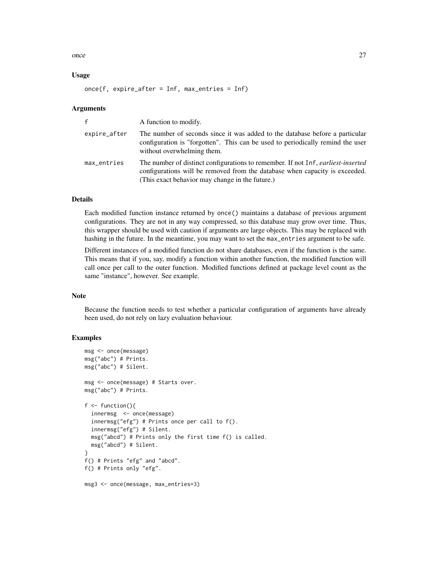once 27

## Usage

once(f, expire\_after = Inf, max\_entries = Inf)

#### Arguments

| f            | A function to modify.                                                                                                                                                                                                     |
|--------------|---------------------------------------------------------------------------------------------------------------------------------------------------------------------------------------------------------------------------|
| expire_after | The number of seconds since it was added to the database before a particular<br>configuration is "forgotten". This can be used to periodically remind the user<br>without overwhelming them.                              |
| max_entries  | The number of distinct configurations to remember. If not Inf, <i>earliest-inserted</i><br>configurations will be removed from the database when capacity is exceeded.<br>(This exact behavior may change in the future.) |

#### Details

Each modified function instance returned by once() maintains a database of previous argument configurations. They are not in any way compressed, so this database may grow over time. Thus, this wrapper should be used with caution if arguments are large objects. This may be replaced with hashing in the future. In the meantime, you may want to set the max\_entries argument to be safe.

Different instances of a modified function do not share databases, even if the function is the same. This means that if you, say, modify a function within another function, the modified function will call once per call to the outer function. Modified functions defined at package level count as the same "instance", however. See example.

#### Note

Because the function needs to test whether a particular configuration of arguments have already been used, do not rely on lazy evaluation behaviour.

```
msg <- once(message)
msg("abc") # Prints.
msg("abc") # Silent.
msg <- once(message) # Starts over.
msg("abc") # Prints.
f \leftarrow function()innermsg <- once(message)
  innermsg("efg") # Prints once per call to f().
  innermsg("efg") # Silent.
  msg("abcd") # Prints only the first time f() is called.
  msg("abcd") # Silent.
}
f() # Prints "efg" and "abcd".
f() # Prints only "efg".
msg3 <- once(message, max_entries=3)
```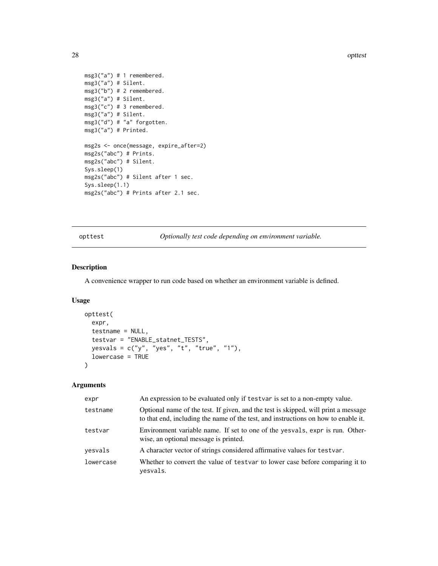28 optiest 2008 optiest 2008 optiest 2008 optiest 2008 optiest 2008 optiest 2008 optiest 2008 optiest 2008 optiest 2008 optiest 2008 optiest 2008 optiest 2008 optiest 2008 optiest 2008 optiest 2008 optiest 2008 optiest 200

```
msg3("a") # 1 remembered.
msg3("a") # Silent.
msg3("b") # 2 remembered.
msg3("a") # Silent.
msg3("c") # 3 remembered.
msg3("a") # Silent.
msg3("d") # "a" forgotten.
msg3("a") # Printed.
msg2s <- once(message, expire_after=2)
msg2s("abc") # Prints.
msg2s("abc") # Silent.
Sys.sleep(1)
msg2s("abc") # Silent after 1 sec.
Sys.sleep(1.1)
msg2s("abc") # Prints after 2.1 sec.
```
opttest *Optionally test code depending on environment variable.*

## Description

A convenience wrapper to run code based on whether an environment variable is defined.

## Usage

```
opttest(
 expr,
  testname = NULL,
  testvar = "ENABLE_statnet_TESTS",
 yesvals = c("y", "yes", "t", "true", "1"),lowercase = TRUE
)
```
## Arguments

| expr      | An expression to be evaluated only if testvar is set to a non-empty value.                                                                                               |
|-----------|--------------------------------------------------------------------------------------------------------------------------------------------------------------------------|
| testname  | Optional name of the test. If given, and the test is skipped, will print a message<br>to that end, including the name of the test, and instructions on how to enable it. |
| testvar   | Environment variable name. If set to one of the yesvals, expr is run. Other-<br>wise, an optional message is printed.                                                    |
| yesvals   | A character vector of strings considered affirmative values for testvar.                                                                                                 |
| lowercase | Whether to convert the value of testvar to lower case before comparing it to<br>yesvals.                                                                                 |

<span id="page-27-0"></span>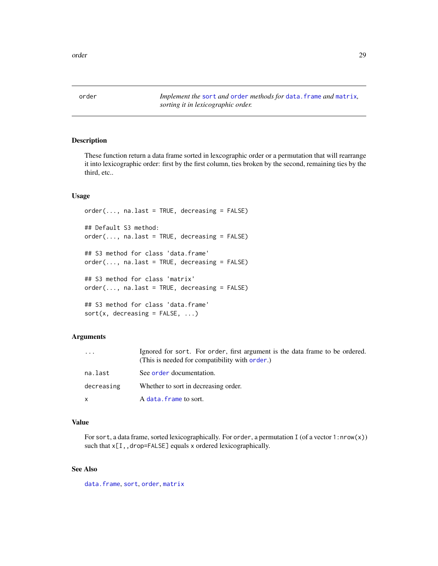<span id="page-28-0"></span>order 29

<span id="page-28-1"></span>order *Implement the* [sort](#page-0-0) *and* [order](#page-28-1) *methods for* [data.frame](#page-0-0) *and* [matrix](#page-0-0)*, sorting it in lexicographic order.*

## Description

These function return a data frame sorted in lexcographic order or a permutation that will rearrange it into lexicographic order: first by the first column, ties broken by the second, remaining ties by the third, etc..

#### Usage

```
order(..., nau last = TRUE, decreasing = FALSE)## Default S3 method:
order(..., nau last = TRUE, decreasing = FALSE)## S3 method for class 'data.frame'
order(..., nau last = TRUE, decreasing = FALSE)## S3 method for class 'matrix'
order(..., na.last = TRUE, decreasing = FALSE)## S3 method for class 'data.frame'
sort(x, decreasing = FALSE, ...)
```
## Arguments

| $\cdots$   | Ignored for sort. For order, first argument is the data frame to be ordered.<br>(This is needed for compatibility with order.) |
|------------|--------------------------------------------------------------------------------------------------------------------------------|
| na.last    | See order documentation.                                                                                                       |
| decreasing | Whether to sort in decreasing order.                                                                                           |
| X          | A data. frame to sort.                                                                                                         |

#### Value

For sort, a data frame, sorted lexicographically. For order, a permutation I (of a vector 1: $nrow(x)$ ) such that  $x[I,,drop=FALSE]$  equals x ordered lexicographically.

## See Also

[data.frame](#page-0-0), [sort](#page-0-0), [order](#page-28-1), [matrix](#page-0-0)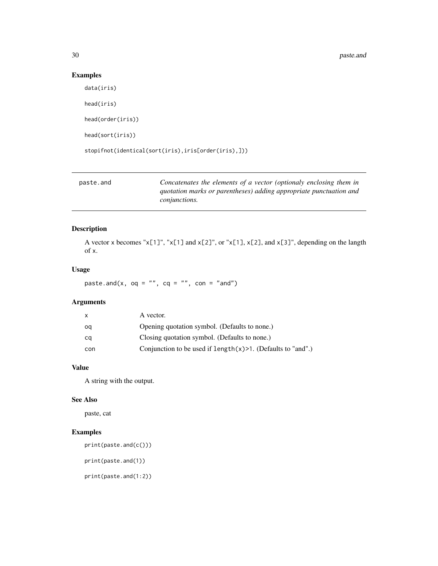## Examples

```
data(iris)
head(iris)
head(order(iris))
head(sort(iris))
stopifnot(identical(sort(iris),iris[order(iris),]))
```

| paste.and | Concatenates the elements of a vector (optionaly enclosing them in |
|-----------|--------------------------------------------------------------------|
|           | quotation marks or parentheses) adding appropriate punctuation and |
|           | <i>conjunctions.</i>                                               |

## Description

A vector x becomes "x[1]", "x[1] and x[2]", or "x[1], x[2], and x[3]", depending on the langth of x.

#### Usage

paste.and(x,  $oq = "", cq = "", con = "and")$ 

## Arguments

| X   | A vector.                                                        |
|-----|------------------------------------------------------------------|
| oq  | Opening quotation symbol. (Defaults to none.)                    |
| cq  | Closing quotation symbol. (Defaults to none.)                    |
| con | Conjunction to be used if $length(x) > 1$ . (Defaults to "and".) |

## Value

A string with the output.

#### See Also

paste, cat

## Examples

print(paste.and(c()))

print(paste.and(1))

print(paste.and(1:2))

<span id="page-29-0"></span>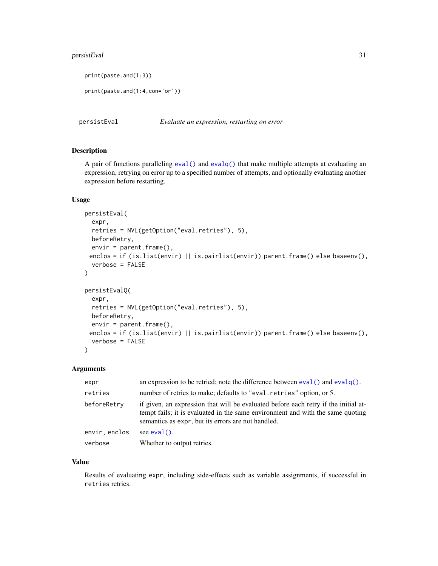## <span id="page-30-0"></span>persistEval 31

```
print(paste.and(1:3))
```

```
print(paste.and(1:4,con='or'))
```
persistEval *Evaluate an expression, restarting on error*

#### Description

A pair of functions paralleling [eval\(\)](#page-0-0) and [evalq\(\)](#page-0-0) that make multiple attempts at evaluating an expression, retrying on error up to a specified number of attempts, and optionally evaluating another expression before restarting.

## Usage

```
persistEval(
  expr,
  retries = NVL(getOption("eval.retries"), 5),
 beforeRetry,
 envir = parent.frame(),
 enclos = if (is.list(envir) || is.pairlist(envir)) parent.frame() else baseenv(),
  verbose = FALSE
)
persistEvalQ(
  expr,
  retries = NVL(getOption("eval.retries"), 5),
 beforeRetry,
  envir = parent.frame(),
 enclos = if (is.list(envir) || is.pairlist(envir)) parent.frame() else baseenv(),
  verbose = FALSE
)
```
#### Arguments

| expr          | an expression to be retried; note the difference between $eval()$ and $evalq()$ .                                                                                                                                           |  |
|---------------|-----------------------------------------------------------------------------------------------------------------------------------------------------------------------------------------------------------------------------|--|
| retries       | number of retries to make; defaults to "eval.retries" option, or 5.                                                                                                                                                         |  |
| beforeRetry   | if given, an expression that will be evaluated before each retry if the initial at-<br>tempt fails; it is evaluated in the same environment and with the same quoting<br>semantics as expr, but its errors are not handled. |  |
| envir, enclos | see $eval()$ .                                                                                                                                                                                                              |  |
| verbose       | Whether to output retries.                                                                                                                                                                                                  |  |

## Value

Results of evaluating expr, including side-effects such as variable assignments, if successful in retries retries.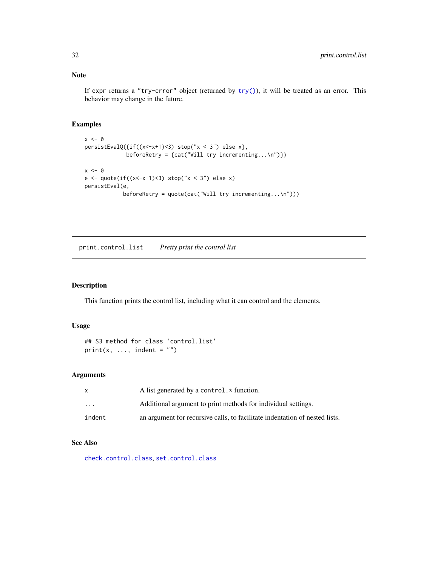If expr returns a "try-error" object (returned by  $try()$ ), it will be treated as an error. This behavior may change in the future.

#### Examples

```
x < - \thetapersistEvalQ({if((x<-x+1)<3) stop("x < 3") else x},
              beforeRetry = {cat("Will try incrementing...\n\times")})
x < - \thetae <- quote(if((x<-x+1)<3) stop("x < 3") else x)
persistEval(e,
             beforeRetry = quote(cat("Will try incrementing...\n")))
```
<span id="page-31-1"></span>print.control.list *Pretty print the control list*

## Description

This function prints the control list, including what it can control and the elements.

## Usage

```
## S3 method for class 'control.list'
print(x, ..., indent = "")
```
## Arguments

|                         | A list generated by a control. $\star$ function.                            |
|-------------------------|-----------------------------------------------------------------------------|
| $\cdot$ $\cdot$ $\cdot$ | Additional argument to print methods for individual settings.               |
| indent                  | an argument for recursive calls, to facilitate indentation of nested lists. |

## See Also

[check.control.class](#page-4-1), [set.control.class](#page-32-1)

<span id="page-31-0"></span>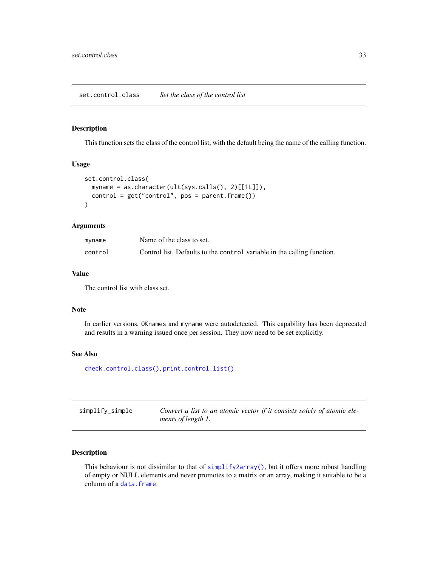<span id="page-32-1"></span><span id="page-32-0"></span>This function sets the class of the control list, with the default being the name of the calling function.

## Usage

```
set.control.class(
 myname = as.character(ult(sys.calls(), 2)[[1L]]),
 control = get("control", pos = parent.frame())
)
```
#### Arguments

| myname  | Name of the class to set.                                               |
|---------|-------------------------------------------------------------------------|
| control | Control list. Defaults to the control variable in the calling function. |

#### Value

The control list with class set.

## Note

In earlier versions, OKnames and myname were autodetected. This capability has been deprecated and results in a warning issued once per session. They now need to be set explicitly.

## See Also

[check.control.class\(\)](#page-4-1), [print.control.list\(\)](#page-31-1)

| simplify_simple | Convert a list to an atomic vector if it consists solely of atomic ele- |
|-----------------|-------------------------------------------------------------------------|
|                 | ments of length 1.                                                      |

## Description

This behaviour is not dissimilar to that of [simplify2array\(\)](#page-0-0), but it offers more robust handling of empty or NULL elements and never promotes to a matrix or an array, making it suitable to be a column of a [data.frame](#page-0-0).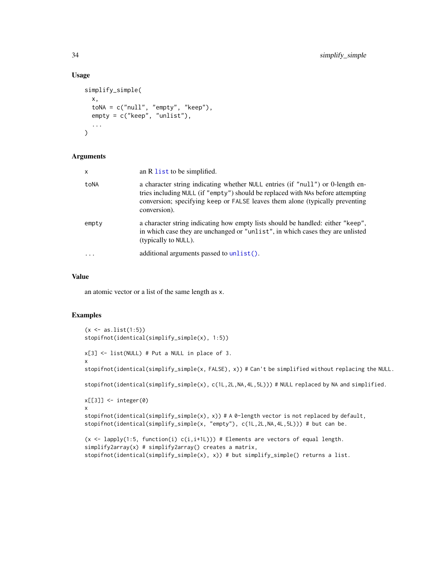## Usage

```
simplify_simple(
  x,
  \text{toNA} = \text{c("null", "empty", "keep"),}empty = c("keep", "unlist"),
  ...
)
```
## Arguments

| X         | an R list to be simplified.                                                                                                                                                                                                                                       |
|-----------|-------------------------------------------------------------------------------------------------------------------------------------------------------------------------------------------------------------------------------------------------------------------|
| toNA      | a character string indicating whether NULL entries (if "null") or 0-length en-<br>tries including NULL (if "empty") should be replaced with NAs before attempting<br>conversion; specifying keep or FALSE leaves them alone (typically preventing<br>conversion). |
| empty     | a character string indicating how empty lists should be handled: either "keep",<br>in which case they are unchanged or "unlist", in which cases they are unlisted<br>(typically to NULL).                                                                         |
| $\ddotsc$ | additional arguments passed to $unlist()$ .                                                                                                                                                                                                                       |

## Value

an atomic vector or a list of the same length as x.

```
(x < -as.list(1:5))stopifnot(identical(simplify_simple(x), 1:5))
x[3] <- list(NULL) # Put a NULL in place of 3.
x
stopifnot(identical(simplify_simple(x, FALSE), x)) # Can't be simplified without replacing the NULL.
stopifnot(identical(simplify_simple(x), c(1L,2L,NA,4L,5L))) # NULL replaced by NA and simplified.
x[[3]] <- integer(0)
x
stopifnot(identical(simplify_simple(x), x)) # A 0-length vector is not replaced by default,
stopifnot(identical(simplify_simple(x, "empty"), c(1L,2L,NA,4L,5L))) # but can be.
(x \leq - \text{lapply}(1:5, function(i) c(i, i+1L))) # Elements are vectors of equal length.
simplify2array(x) # simply2array() creates a matrix,
stopifnot(identical(simplify_simple(x), x)) # but simplify_simple() returns a list.
```
<span id="page-33-0"></span>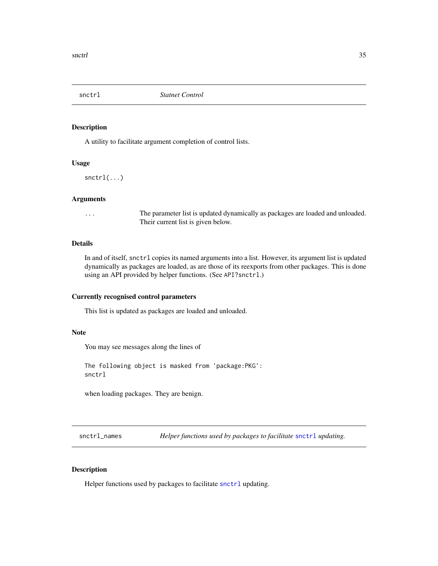<span id="page-34-1"></span><span id="page-34-0"></span>

A utility to facilitate argument completion of control lists.

#### Usage

snctrl(...)

#### Arguments

... The parameter list is updated dynamically as packages are loaded and unloaded. Their current list is given below.

## Details

In and of itself, snctrl copies its named arguments into a list. However, its argument list is updated dynamically as packages are loaded, as are those of its reexports from other packages. This is done using an API provided by helper functions. (See API?snctrl.)

#### Currently recognised control parameters

This list is updated as packages are loaded and unloaded.

#### Note

You may see messages along the lines of

The following object is masked from 'package:PKG': snctrl

when loading packages. They are benign.

snctrl\_names *Helper functions used by packages to facilitate* [snctrl](#page-34-1) *updating.*

#### <span id="page-34-2"></span>Description

Helper functions used by packages to facilitate [snctrl](#page-34-1) updating.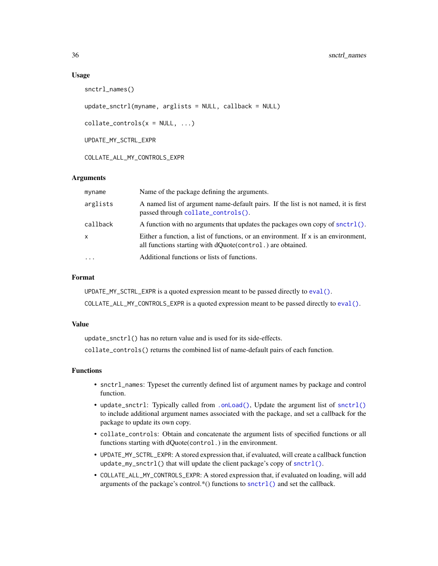#### Usage

```
snctrl_names()
```

```
update_snctrl(myname, arglists = NULL, callback = NULL)
```
 $collate\_controls(x = NULL, ...)$ 

UPDATE\_MY\_SCTRL\_EXPR

COLLATE\_ALL\_MY\_CONTROLS\_EXPR

## **Arguments**

| myname    | Name of the package defining the arguments.                                                                                                        |
|-----------|----------------------------------------------------------------------------------------------------------------------------------------------------|
| arglists  | A named list of argument name-default pairs. If the list is not named, it is first<br>passed through collate_controls().                           |
| callback  | A function with no arguments that updates the packages own copy of snctrl().                                                                       |
| X         | Either a function, a list of functions, or an environment. If $x$ is an environment,<br>all functions starting with dQuote(control.) are obtained. |
| $\ddotsc$ | Additional functions or lists of functions.                                                                                                        |

### Format

UPDATE\_MY\_SCTRL\_EXPR is a quoted expression meant to be passed directly to [eval\(\)](#page-0-0).

COLLATE\_ALL\_MY\_CONTROLS\_EXPR is a quoted expression meant to be passed directly to [eval\(\)](#page-0-0).

#### Value

update\_snctrl() has no return value and is used for its side-effects.

collate\_controls() returns the combined list of name-default pairs of each function.

## Functions

- snctrl\_names: Typeset the currently defined list of argument names by package and control function.
- update\_snctrl: Typically called from [.onLoad\(\)](#page-0-0), Update the argument list of [snctrl\(\)](#page-34-1) to include additional argument names associated with the package, and set a callback for the package to update its own copy.
- collate\_controls: Obtain and concatenate the argument lists of specified functions or all functions starting with dQuote(control.) in the environment.
- UPDATE\_MY\_SCTRL\_EXPR: A stored expression that, if evaluated, will create a callback function update\_my\_snctrl() that will update the client package's copy of [snctrl\(\)](#page-34-1).
- COLLATE\_ALL\_MY\_CONTROLS\_EXPR: A stored expression that, if evaluated on loading, will add arguments of the package's control.\*() functions to [snctrl\(\)](#page-34-1) and set the callback.

<span id="page-35-0"></span>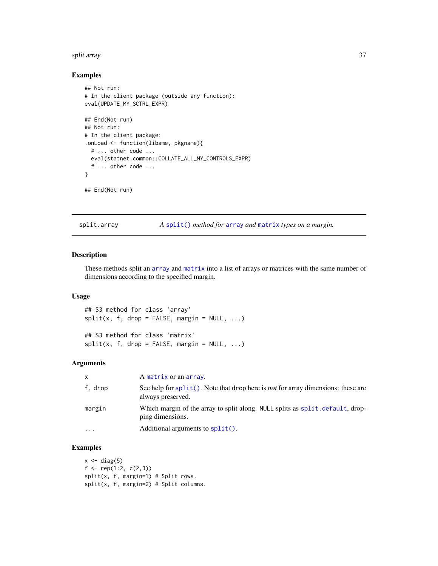#### <span id="page-36-0"></span>split.array 37

## Examples

```
## Not run:
# In the client package (outside any function):
eval(UPDATE_MY_SCTRL_EXPR)
## End(Not run)
## Not run:
# In the client package:
.onLoad <- function(libame, pkgname){
  # ... other code ...
  eval(statnet.common::COLLATE_ALL_MY_CONTROLS_EXPR)
  # ... other code ...
}
## End(Not run)
```
split.array *A* [split\(\)](#page-0-0) *method for* [array](#page-0-0) *and* [matrix](#page-0-0) *types on a margin.*

## Description

These methods split an [array](#page-0-0) and [matrix](#page-0-0) into a list of arrays or matrices with the same number of dimensions according to the specified margin.

#### Usage

## S3 method for class 'array'  $split(x, f, drop = FALSE, margin = NULL, ...)$ 

## S3 method for class 'matrix'  $split(x, f, drop = FALSE, margin = NULL, ...)$ 

#### Arguments

| X        | A matrix or an array.                                                                                        |
|----------|--------------------------------------------------------------------------------------------------------------|
| f, drop  | See help for split(). Note that drop here is <i>not</i> for array dimensions: these are<br>always preserved. |
| margin   | Which margin of the array to split along. NULL splits as split.default, drop-<br>ping dimensions.            |
| $\cdots$ | Additional arguments to $split()$ .                                                                          |

```
x \leftarrow diag(5)f \leftarrow rep(1:2, c(2,3))split(x, f, margin=1) # Split rows.
split(x, f, margin=2) # Split columns.
```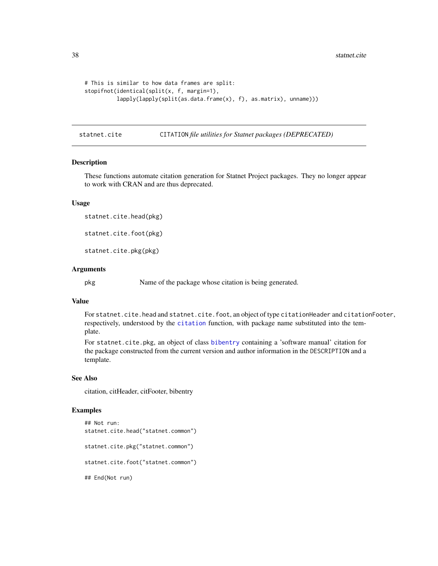```
# This is similar to how data frames are split:
stopifnot(identical(split(x, f, margin=1),
          lapply(lapply(split(as.data.frame(x), f), as.matrix), unname)))
```
statnet.cite CITATION *file utilities for Statnet packages (DEPRECATED)*

#### Description

These functions automate citation generation for Statnet Project packages. They no longer appear to work with CRAN and are thus deprecated.

#### Usage

statnet.cite.head(pkg)

statnet.cite.foot(pkg)

statnet.cite.pkg(pkg)

#### Arguments

pkg Name of the package whose citation is being generated.

## Value

For statnet.cite.head and statnet.cite.foot, an object of type citationHeader and citationFooter, respectively, understood by the [citation](#page-0-0) function, with package name substituted into the template.

For statnet.cite.pkg, an object of class [bibentry](#page-0-0) containing a 'software manual' citation for the package constructed from the current version and author information in the DESCRIPTION and a template.

#### See Also

citation, citHeader, citFooter, bibentry

```
## Not run:
statnet.cite.head("statnet.common")
statnet.cite.pkg("statnet.common")
statnet.cite.foot("statnet.common")
## End(Not run)
```
<span id="page-37-0"></span>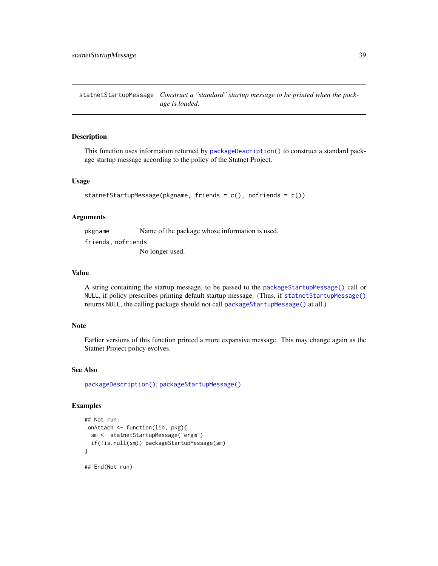<span id="page-38-1"></span><span id="page-38-0"></span>statnetStartupMessage *Construct a "standard" startup message to be printed when the package is loaded.*

## Description

This function uses information returned by [packageDescription\(\)](#page-0-0) to construct a standard package startup message according to the policy of the Statnet Project.

#### Usage

```
statnetStartupMessage(pkgname, friends = c(), nofriends = c())
```
#### Arguments

pkgname Name of the package whose information is used. friends, nofriends No longer used.

## Value

A string containing the startup message, to be passed to the [packageStartupMessage\(\)](#page-0-0) call or NULL, if policy prescribes printing default startup message. (Thus, if [statnetStartupMessage\(\)](#page-38-1) returns NULL, the calling package should not call [packageStartupMessage\(\)](#page-0-0) at all.)

## Note

Earlier versions of this function printed a more expansive message. This may change again as the Statnet Project policy evolves.

## See Also

[packageDescription\(\)](#page-0-0), [packageStartupMessage\(\)](#page-0-0)

```
## Not run:
.onAttach <- function(lib, pkg){
 sm <- statnetStartupMessage("ergm")
 if(!is.null(sm)) packageStartupMessage(sm)
}
## End(Not run)
```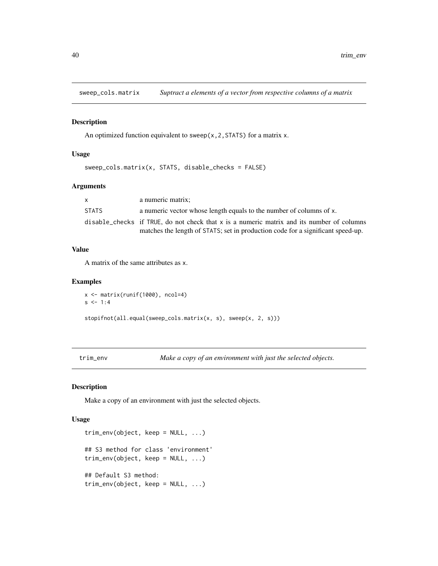<span id="page-39-0"></span>sweep\_cols.matrix *Suptract a elements of a vector from respective columns of a matrix*

## Description

An optimized function equivalent to sweep( $x$ , 2, STATS) for a matrix  $x$ .

#### Usage

sweep\_cols.matrix(x, STATS, disable\_checks = FALSE)

#### Arguments

| x.    | a numeric matrix;                                                                           |  |
|-------|---------------------------------------------------------------------------------------------|--|
| STATS | a numeric vector whose length equals to the number of columns of x.                         |  |
|       | disable checks if TRUE, do not check that $x$ is a numeric matrix and its number of columns |  |
|       | matches the length of STATS; set in production code for a significant speed-up.             |  |

## Value

A matrix of the same attributes as x.

#### Examples

```
x <- matrix(runif(1000), ncol=4)
s \le -1:4
```
stopifnot(all.equal(sweep\_cols.matrix(x, s), sweep(x, 2, s)))

trim\_env *Make a copy of an environment with just the selected objects.*

#### Description

Make a copy of an environment with just the selected objects.

#### Usage

```
trim_env(object, keep = NULL, ...)
## S3 method for class 'environment'
trim_env(object, keep = NULL, ...)
## Default S3 method:
trim_env(object, keep = NULL, ...)
```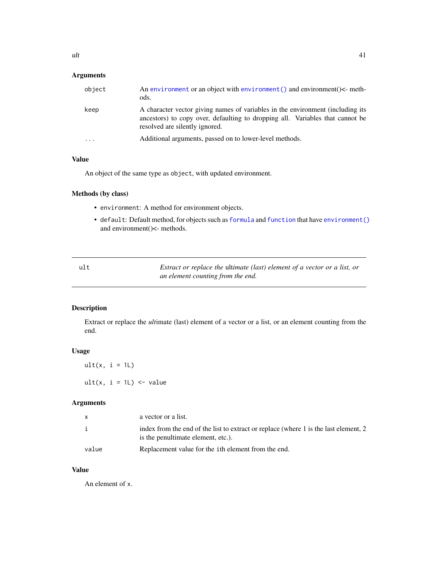## <span id="page-40-0"></span>Arguments

| object | An environment or an object with environment () and environment $\leq$ -meth-<br>ods.                                                                                                             |
|--------|---------------------------------------------------------------------------------------------------------------------------------------------------------------------------------------------------|
| keep   | A character vector giving names of variables in the environment (including its<br>ancestors) to copy over, defaulting to dropping all. Variables that cannot be<br>resolved are silently ignored. |
| .      | Additional arguments, passed on to lower-level methods.                                                                                                                                           |

## Value

An object of the same type as object, with updated environment.

## Methods (by class)

- environment: A method for environment objects.
- default: Default method, for objects such as [formula](#page-0-0) and [function](#page-0-0) that have [environment\(\)](#page-0-0) and environment()<- methods.

| ult | Extract or replace the ultimate (last) element of a vector or a list, or |
|-----|--------------------------------------------------------------------------|
|     | an element counting from the end.                                        |

## Description

Extract or replace the *ult*imate (last) element of a vector or a list, or an element counting from the end.

## Usage

 $ult(x, i = 1L)$ ult(x,  $i = 1$ L) <- value

## Arguments

| X     | a vector or a list.                                                                                                        |
|-------|----------------------------------------------------------------------------------------------------------------------------|
| i     | index from the end of the list to extract or replace (where 1 is the last element, 2<br>is the penultimate element, etc.). |
| value | Replacement value for the <i>i</i> th element from the end.                                                                |

## Value

An element of x.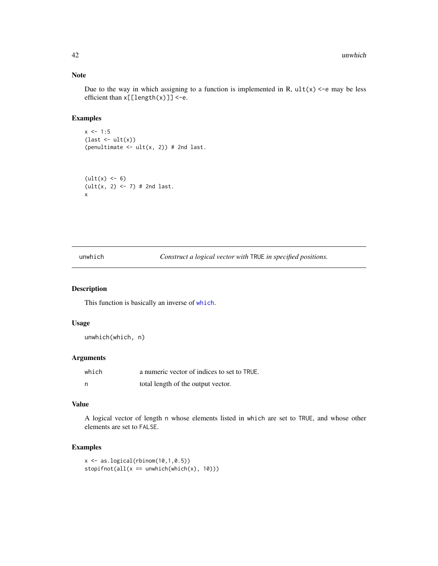## Note

Due to the way in which assigning to a function is implemented in R,  $ult(x) < -e$  may be less efficient than x[[length(x)]] <-e.

## Examples

 $x \le -1:5$  $(\text{last} \leftarrow \text{ult}(x))$ (penultimate  $\leq$  ult(x, 2)) # 2nd last.

 $(\text{ult}(x) < -6)$  $(ult(x, 2) < -7)$  # 2nd last. x

unwhich *Construct a logical vector with* TRUE *in specified positions.*

#### Description

This function is basically an inverse of [which](#page-0-0).

## Usage

unwhich(which, n)

## Arguments

| which | a numeric vector of indices to set to TRUE. |
|-------|---------------------------------------------|
| - n   | total length of the output vector.          |

## Value

A logical vector of length n whose elements listed in which are set to TRUE, and whose other elements are set to FALSE.

```
x \leftarrow as.logical(rbinom(10,1,0.5))stopifnot(all(x == unwhich(which(x), 10)))
```
<span id="page-41-0"></span>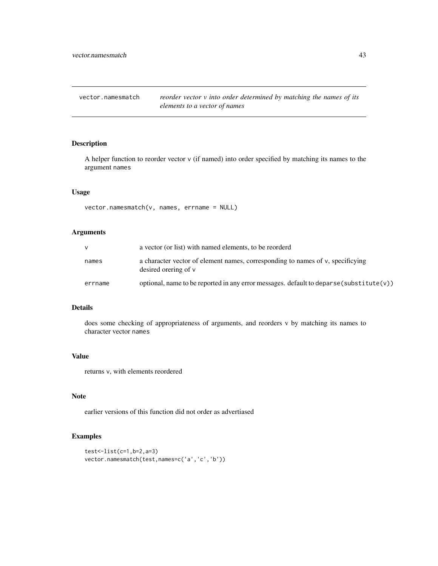<span id="page-42-0"></span>vector.namesmatch *reorder vector v into order determined by matching the names of its elements to a vector of names*

## Description

A helper function to reorder vector v (if named) into order specified by matching its names to the argument names

## Usage

vector.namesmatch(v, names, errname = NULL)

## Arguments

|         | a vector (or list) with named elements, to be reorderd                                                |
|---------|-------------------------------------------------------------------------------------------------------|
| names   | a character vector of element names, corresponding to names of v, specificying<br>desired organized v |
| errname | optional, name to be reported in any error messages. default to deparse (substitute $(v)$ )           |

## Details

does some checking of appropriateness of arguments, and reorders v by matching its names to character vector names

#### Value

returns v, with elements reordered

#### Note

earlier versions of this function did not order as advertiased

```
test<-list(c=1,b=2,a=3)
vector.namesmatch(test,names=c('a','c','b'))
```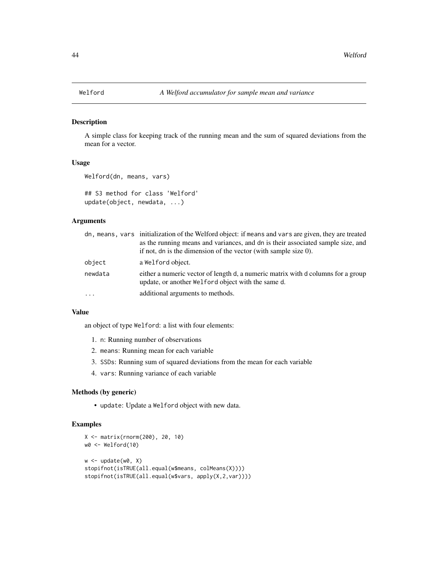<span id="page-43-0"></span>A simple class for keeping track of the running mean and the sum of squared deviations from the mean for a vector.

## Usage

```
Welford(dn, means, vars)
```
## S3 method for class 'Welford' update(object, newdata, ...)

## Arguments

|         | dn, means, vars initialization of the Welford object: if means and vars are given, they are treated                                    |
|---------|----------------------------------------------------------------------------------------------------------------------------------------|
|         | as the running means and variances, and dn is their associated sample size, and                                                        |
|         | if not, dn is the dimension of the vector (with sample size $0$ ).                                                                     |
| object  | a Welford object.                                                                                                                      |
| newdata | either a numeric vector of length d, a numeric matrix with d columns for a group<br>update, or another Welford object with the same d. |
| .       | additional arguments to methods.                                                                                                       |

#### Value

an object of type Welford: a list with four elements:

- 1. n: Running number of observations
- 2. means: Running mean for each variable
- 3. SSDs: Running sum of squared deviations from the mean for each variable
- 4. vars: Running variance of each variable

#### Methods (by generic)

• update: Update a Welford object with new data.

```
X <- matrix(rnorm(200), 20, 10)
w0 <- Welford(10)
w <- update(w0, X)
stopifnot(isTRUE(all.equal(w$means, colMeans(X))))
stopifnot(isTRUE(all.equal(w$vars, apply(X,2,var))))
```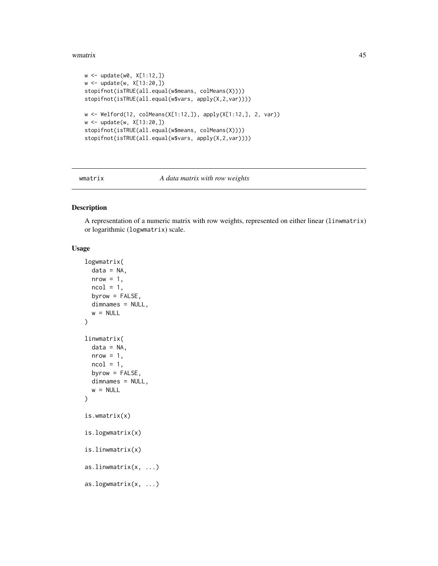#### <span id="page-44-0"></span>wmatrix 45

```
w <- update(w0, X[1:12,])
w <- update(w, X[13:20,])
stopifnot(isTRUE(all.equal(w$means, colMeans(X))))
stopifnot(isTRUE(all.equal(w$vars, apply(X,2,var))))
w <- Welford(12, colMeans(X[1:12,]), apply(X[1:12,], 2, var))
w <- update(w, X[13:20,])
stopifnot(isTRUE(all.equal(w$means, colMeans(X))))
stopifnot(isTRUE(all.equal(w$vars, apply(X,2,var))))
```
wmatrix *A data matrix with row weights*

## <span id="page-44-1"></span>Description

A representation of a numeric matrix with row weights, represented on either linear (linwmatrix) or logarithmic (logwmatrix) scale.

## Usage

```
logwmatrix(
  data = NA,
  nrow = 1,
  ncol = 1,
 byrow = FALSE,
  dimnames = NULL,
  w = NULL)
linwmatrix(
  data = NA,
  nrow = 1,
  ncol = 1,
  byrow = FALSE,
  dimnames = NULL,
  w = NULL)
is.wmatrix(x)
is.logwmatrix(x)
is.linwmatrix(x)
as.linwmatrix(x, ...)
as.logwmatrix(x, ...)
```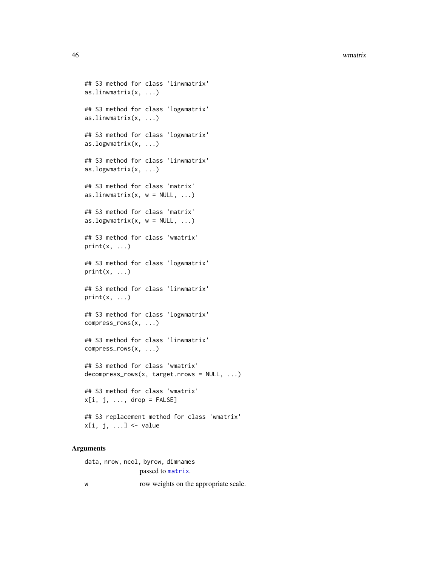<span id="page-45-0"></span>46 wmatrix

```
## S3 method for class 'linwmatrix'
as.linwmatrix(x, ...)
## S3 method for class 'logwmatrix'
as.linwmatrix(x, ...)
## S3 method for class 'logwmatrix'
as.logwmatrix(x, ...)
## S3 method for class 'linwmatrix'
as.logwmatrix(x, ...)
## S3 method for class 'matrix'
as.linwmatrix(x, w = NULL, ...)
## S3 method for class 'matrix'
as.logwmatrix(x, w = NULL, ...)
## S3 method for class 'wmatrix'
print(x, \ldots)## S3 method for class 'logwmatrix'
print(x, \ldots)## S3 method for class 'linwmatrix'
print(x, \ldots)## S3 method for class 'logwmatrix'
compress_rows(x, ...)
## S3 method for class 'linwmatrix'
compress_rows(x, ...)
## S3 method for class 'wmatrix'
decompress_rows(x, target.nrows = NULL, ...)
## S3 method for class 'wmatrix'
x[i, j, ..., drop = FALSE]## S3 replacement method for class 'wmatrix'
x[i, j, ...] <- value
```
#### Arguments

data, nrow, ncol, byrow, [dimname](#page-0-0)s passed to matrix.

w row weights on the appropriate scale.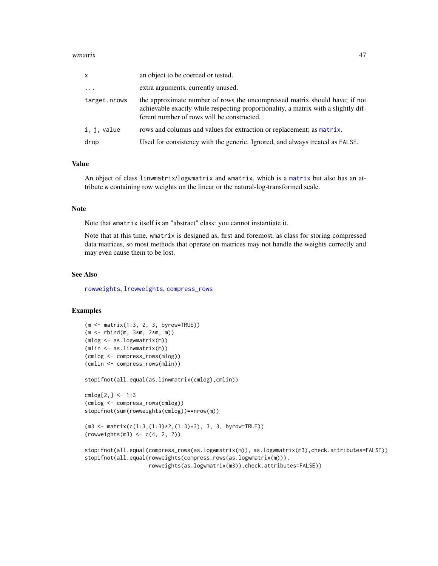#### <span id="page-46-0"></span>wmatrix 47

| x            | an object to be coerced or tested.                                                                                                                                                                             |
|--------------|----------------------------------------------------------------------------------------------------------------------------------------------------------------------------------------------------------------|
| $\cdots$     | extra arguments, currently unused.                                                                                                                                                                             |
| target.nrows | the approximate number of rows the uncompressed matrix should have; if not<br>achievable exactly while respecting proportionality, a matrix with a slightly dif-<br>ferent number of rows will be constructed. |
| i, j, value  | rows and columns and values for extraction or replacement; as matrix.                                                                                                                                          |
| drop         | Used for consistency with the generic. Ignored, and always treated as FALSE.                                                                                                                                   |

## Value

An object of class linwmatrix/logwmatrix and wmatrix, which is a [matrix](#page-0-0) but also has an attribute w containing row weights on the linear or the natural-log-transformed scale.

## Note

Note that wmatrix itself is an "abstract" class: you cannot instantiate it.

Note that at this time, wmatrix is designed as, first and foremost, as class for storing compressed data matrices, so most methods that operate on matrices may not handle the weights correctly and may even cause them to be lost.

## See Also

[rowweights](#page-47-1), [lrowweights](#page-47-1), [compress\\_rows](#page-5-1)

## Examples

```
(m <- matrix(1:3, 2, 3, byrow=TRUE))
(m <- rbind(m, 3*m, 2*m, m))
(mlog <- as.logwmatrix(m))
(mlin <- as.linwmatrix(m))
(cmlog <- compress_rows(mlog))
(cmlin <- compress_rows(mlin))
```
stopifnot(all.equal(as.linwmatrix(cmlog),cmlin))

```
cmlog[2,] < -1:3(cmlog <- compress_rows(cmlog))
stopifnot(sum(rowweights(cmlog))==nrow(m))
```

```
(m3 <- matrix(c(1:3,(1:3)*2,(1:3)*3), 3, 3, byrow=TRUE))
(rowweights(m3) < -c(4, 2, 2))
```

```
stopifnot(all.equal(compress_rows(as.logwmatrix(m)), as.logwmatrix(m3),check.attributes=FALSE))
stopifnot(all.equal(rowweights(compress_rows(as.logwmatrix(m))),
                    rowweights(as.logwmatrix(m3)),check.attributes=FALSE))
```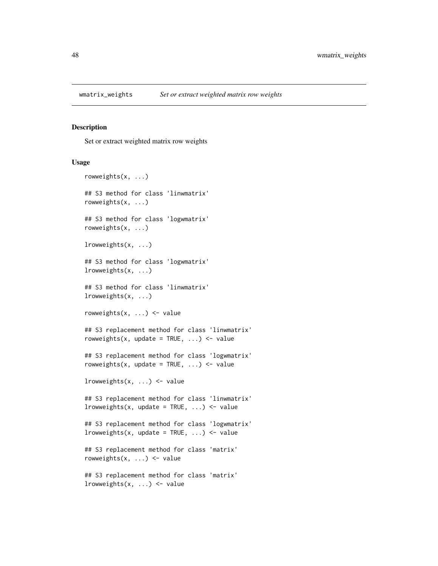<span id="page-47-1"></span><span id="page-47-0"></span>

Set or extract weighted matrix row weights

#### Usage

```
rowweights(x, ...)
## S3 method for class 'linwmatrix'
rowweights(x, ...)
## S3 method for class 'logwmatrix'
rowweights(x, ...)
lrowweights(x, ...)
## S3 method for class 'logwmatrix'
lrowweights(x, ...)
## S3 method for class 'linwmatrix'
lrowweights(x, ...)
rowweights(x, \ldots) <- value
## S3 replacement method for class 'linwmatrix'
rowweights(x, update = TRUE, \ldots) <- value
## S3 replacement method for class 'logwmatrix'
rowweights(x, update = TRUE, \ldots) <- value
lrowweights(x, \ldots) <- value
## S3 replacement method for class 'linwmatrix'
lrowweights(x, update = TRUE, \ldots) <- value
## S3 replacement method for class 'logwmatrix'
lrowweights(x, update = TRUE, \ldots) <- value
## S3 replacement method for class 'matrix'
rowweights(x, \ldots) <- value
## S3 replacement method for class 'matrix'
lrowweights(x, ...) \leftarrow value
```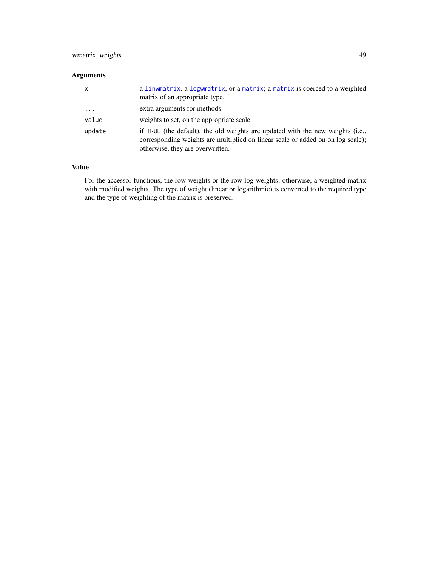## <span id="page-48-0"></span>wmatrix\_weights 49

## Arguments

| x        | a linwmatrix, a logwmatrix, or a matrix; a matrix is coerced to a weighted<br>matrix of an appropriate type.                                                                                          |
|----------|-------------------------------------------------------------------------------------------------------------------------------------------------------------------------------------------------------|
| $\cdots$ | extra arguments for methods.                                                                                                                                                                          |
| value    | weights to set, on the appropriate scale.                                                                                                                                                             |
| update   | if TRUE (the default), the old weights are updated with the new weights (i.e.,<br>corresponding weights are multiplied on linear scale or added on on log scale);<br>otherwise, they are overwritten. |

## Value

For the accessor functions, the row weights or the row log-weights; otherwise, a weighted matrix with modified weights. The type of weight (linear or logarithmic) is converted to the required type and the type of weighting of the matrix is preserved.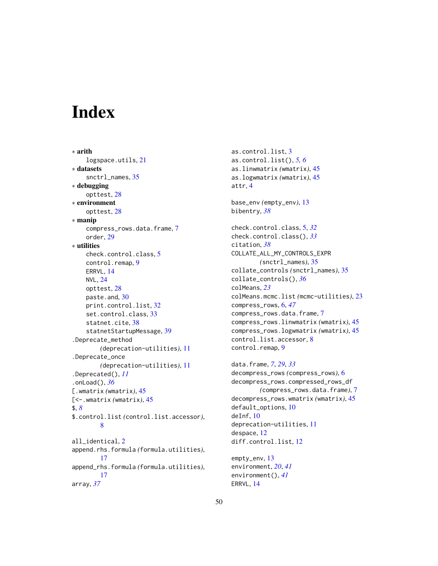# <span id="page-49-0"></span>Index

∗ arith logspace.utils, [21](#page-20-0) ∗ datasets snctrl\_names, [35](#page-34-0) ∗ debugging opttest, [28](#page-27-0) ∗ environment opttest, [28](#page-27-0) ∗ manip compress\_rows.data.frame, [7](#page-6-0) order, [29](#page-28-0) ∗ utilities check.control.class, [5](#page-4-0) control.remap, [9](#page-8-0) ERRVL, [14](#page-13-0) NVL, [24](#page-23-0) opttest, [28](#page-27-0) paste.and, [30](#page-29-0) print.control.list, [32](#page-31-0) set.control.class, [33](#page-32-0) statnet.cite, [38](#page-37-0) statnetStartupMessage, [39](#page-38-0) .Deprecate\_method *(*deprecation-utilities*)*, [11](#page-10-0) .Deprecate\_once *(*deprecation-utilities*)*, [11](#page-10-0) .Deprecated(), *[11](#page-10-0)* .onLoad(), *[36](#page-35-0)* [.wmatrix *(*wmatrix*)*, [45](#page-44-0) [<-.wmatrix *(*wmatrix*)*, [45](#page-44-0) \$, *[8](#page-7-0)* \$.control.list *(*control.list.accessor*)*, [8](#page-7-0) all\_identical, [2](#page-1-0) append.rhs.formula *(*formula.utilities*)*, [17](#page-16-0) append\_rhs.formula *(*formula.utilities*)*, [17](#page-16-0) array, *[37](#page-36-0)*

as.control.list, [3](#page-2-0) as.control.list(), *[5,](#page-4-0) [6](#page-5-0)* as.linwmatrix *(*wmatrix*)*, [45](#page-44-0) as.logwmatrix *(*wmatrix*)*, [45](#page-44-0) attr, [4](#page-3-0) base\_env *(*empty\_env*)*, [13](#page-12-0) bibentry, *[38](#page-37-0)* check.control.class, [5,](#page-4-0) *[32](#page-31-0)* check.control.class(), *[33](#page-32-0)* citation, *[38](#page-37-0)* COLLATE\_ALL\_MY\_CONTROLS\_EXPR *(*snctrl\_names*)*, [35](#page-34-0) collate\_controls *(*snctrl\_names*)*, [35](#page-34-0) collate\_controls(), *[36](#page-35-0)* colMeans, *[23](#page-22-0)* colMeans.mcmc.list *(*mcmc-utilities*)*, [23](#page-22-0) compress\_rows, [6,](#page-5-0) *[47](#page-46-0)* compress\_rows.data.frame, [7](#page-6-0) compress\_rows.linwmatrix *(*wmatrix*)*, [45](#page-44-0) compress\_rows.logwmatrix *(*wmatrix*)*, [45](#page-44-0) control.list.accessor, [8](#page-7-0) control.remap, [9](#page-8-0)

data.frame, *[7](#page-6-0)*, *[29](#page-28-0)*, *[33](#page-32-0)* decompress\_rows *(*compress\_rows*)*, [6](#page-5-0) decompress\_rows.compressed\_rows\_df *(*compress\_rows.data.frame*)*, [7](#page-6-0) decompress\_rows.wmatrix *(*wmatrix*)*, [45](#page-44-0) default\_options, [10](#page-9-0) deInf, [10](#page-9-0) deprecation-utilities, [11](#page-10-0) despace, [12](#page-11-0) diff.control.list, [12](#page-11-0)

empty\_env, [13](#page-12-0) environment, *[20](#page-19-0)*, *[41](#page-40-0)* environment(), *[41](#page-40-0)* ERRVL, [14](#page-13-0)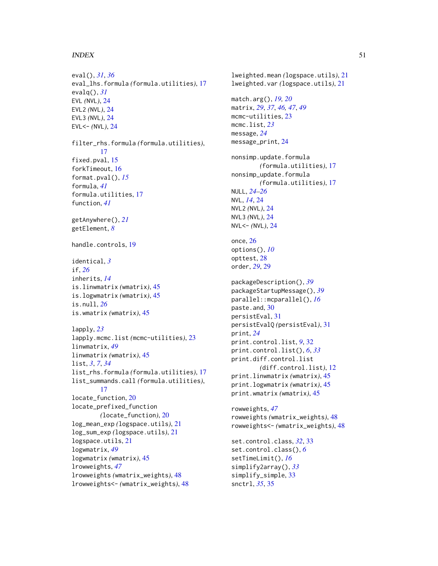#### $I<sub>N</sub>$  in  $I<sub>N</sub>$  is  $I<sub>N</sub>$  in  $I<sub>N</sub>$  in  $I<sub>N</sub>$  in  $I<sub>N</sub>$  in  $I<sub>N</sub>$  in  $I<sub>N</sub>$  in  $I<sub>N</sub>$  in  $I<sub>N</sub>$  in  $I<sub>N</sub>$  in  $I<sub>N</sub>$  in  $I<sub>N</sub>$  in  $I<sub>N</sub>$  in  $I<sub>N</sub>$  in  $I<sub>N</sub>$  in  $I<sub>N</sub>$  in

```
eval(), 31, 36
eval_lhs.formula (formula.utilities), 17
evalq(), 31
EVL (NVL), 24
EVL2 (NVL), 24
EVL3 (NVL), 24
EVL<- (NVL), 24
filter_rhs.formula (formula.utilities),
        17
fixed.pval, 15
forkTimeout, 16
format.pval(), 15
formula, 41
formula.utilities, 17
function, 41
getAnywhere(), 21
getElement, 8
handle.controls, 19
identical, 3
if, 26
inherits, 14
is.linwmatrix (wmatrix), 45
is.logwmatrix (wmatrix), 45
is.null, 26
is.wmatrix (wmatrix), 45
lapply, 23
lapply.mcmc.list (mcmc-utilities), 23
linwmatrix, 49
linwmatrix (wmatrix), 45
list, 3, 7, 34
list_rhs.formula (formula.utilities), 17
list_summands.call (formula.utilities),
        17
locate_function, 20
locate_prefixed_function
        (locate_function), 20
log_mean_exp (logspace.utils), 21
log_sum_exp (logspace.utils), 21
logspace.utils, 21
logwmatrix, 49
logwmatrix (wmatrix), 45
lrowweights, 47
lrowweights (wmatrix_weights), 48
lrowweights<- (wmatrix_weights), 48
```
lweighted.mean *(*logspace.utils*)*, [21](#page-20-0) lweighted.var *(*logspace.utils*)*, [21](#page-20-0) match.arg(), *[19,](#page-18-0) [20](#page-19-0)* matrix, *[29](#page-28-0)*, *[37](#page-36-0)*, *[46,](#page-45-0) [47](#page-46-0)*, *[49](#page-48-0)* mcmc-utilities, [23](#page-22-0) mcmc.list, *[23](#page-22-0)* message, *[24](#page-23-0)* message\_print, [24](#page-23-0) nonsimp.update.formula *(*formula.utilities*)*, [17](#page-16-0) nonsimp\_update.formula *(*formula.utilities*)*, [17](#page-16-0) NULL, *[24–](#page-23-0)[26](#page-25-0)* NVL, *[14](#page-13-0)*, [24](#page-23-0) NVL2 *(*NVL*)*, [24](#page-23-0) NVL3 *(*NVL*)*, [24](#page-23-0) NVL<- *(*NVL*)*, [24](#page-23-0) once, [26](#page-25-0) options(), *[10](#page-9-0)* opttest, [28](#page-27-0) order, *[29](#page-28-0)*, [29](#page-28-0) packageDescription(), *[39](#page-38-0)* packageStartupMessage(), *[39](#page-38-0)* parallel::mcparallel(), *[16](#page-15-0)* paste.and, [30](#page-29-0) persistEval, [31](#page-30-0) persistEvalQ *(*persistEval*)*, [31](#page-30-0) print, *[24](#page-23-0)* print.control.list, *[9](#page-8-0)*, [32](#page-31-0) print.control.list(), *[6](#page-5-0)*, *[33](#page-32-0)* print.diff.control.list *(*diff.control.list*)*, [12](#page-11-0) print.linwmatrix *(*wmatrix*)*, [45](#page-44-0) print.logwmatrix *(*wmatrix*)*, [45](#page-44-0) print.wmatrix *(*wmatrix*)*, [45](#page-44-0) rowweights, *[47](#page-46-0)* rowweights *(*wmatrix\_weights*)*, [48](#page-47-0) rowweights<- *(*wmatrix\_weights*)*, [48](#page-47-0) set.control.class, *[32](#page-31-0)*, [33](#page-32-0) set.control.class(), *[6](#page-5-0)* setTimeLimit(), *[16](#page-15-0)* simplify2array(), *[33](#page-32-0)* simplify\_simple, [33](#page-32-0) snctrl, *[35](#page-34-0)*, [35](#page-34-0)